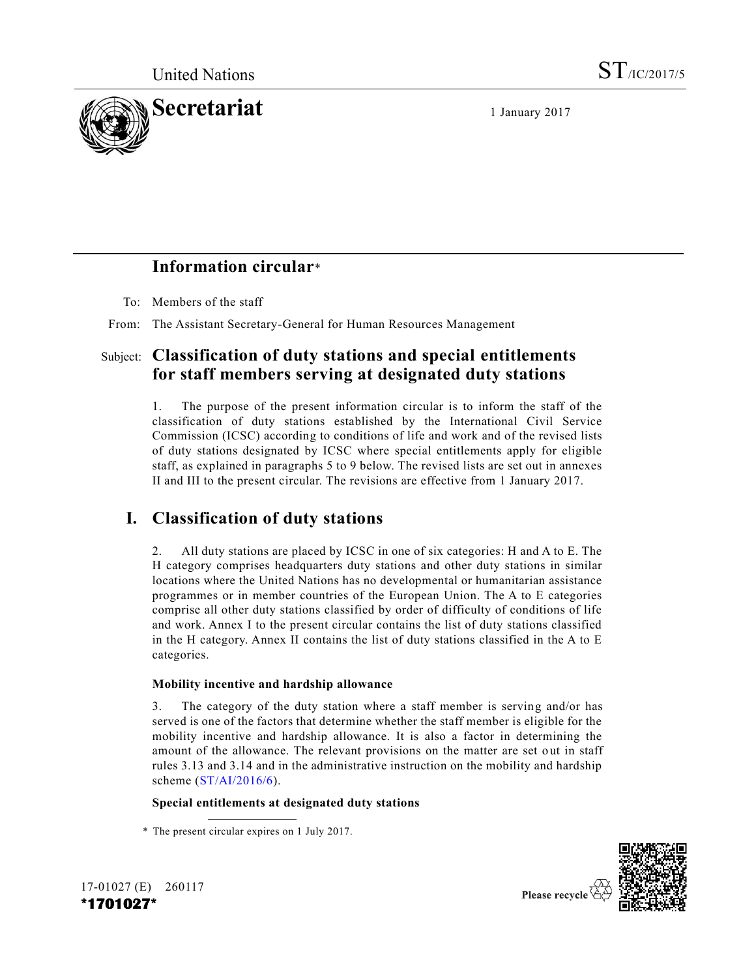

## **Information circular**\*

To: Members of the staff

From: The Assistant Secretary-General for Human Resources Management

### Subject: **Classification of duty stations and special entitlements for staff members serving at designated duty stations**

1. The purpose of the present information circular is to inform the staff of the classification of duty stations established by the International Civil Service Commission (ICSC) according to conditions of life and work and of the revised lists of duty stations designated by ICSC where special entitlements apply for eligible staff, as explained in paragraphs 5 to 9 below. The revised lists are set out in annexes II and III to the present circular. The revisions are effective from 1 January 2017.

## **I. Classification of duty stations**

2. All duty stations are placed by ICSC in one of six categories: H and A to E. The H category comprises headquarters duty stations and other duty stations in similar locations where the United Nations has no developmental or humanitarian assistance programmes or in member countries of the European Union. The A to E categories comprise all other duty stations classified by order of difficulty of conditions of life and work. Annex I to the present circular contains the list of duty stations classified in the H category. Annex II contains the list of duty stations classified in the A to E categories.

#### **Mobility incentive and hardship allowance**

3. The category of the duty station where a staff member is serving and/or has served is one of the factors that determine whether the staff member is eligible for the mobility incentive and hardship allowance. It is also a factor in determining the amount of the allowance. The relevant provisions on the matter are set out in staff rules 3.13 and 3.14 and in the administrative instruction on the mobility and hardship scheme [\(ST/AI/2016/6\)](http://undocs.org/ST/AI/2016/6).

#### **Special entitlements at designated duty stations**





Please recycle

<sup>\*</sup> The present circular expires on 1 July 2017.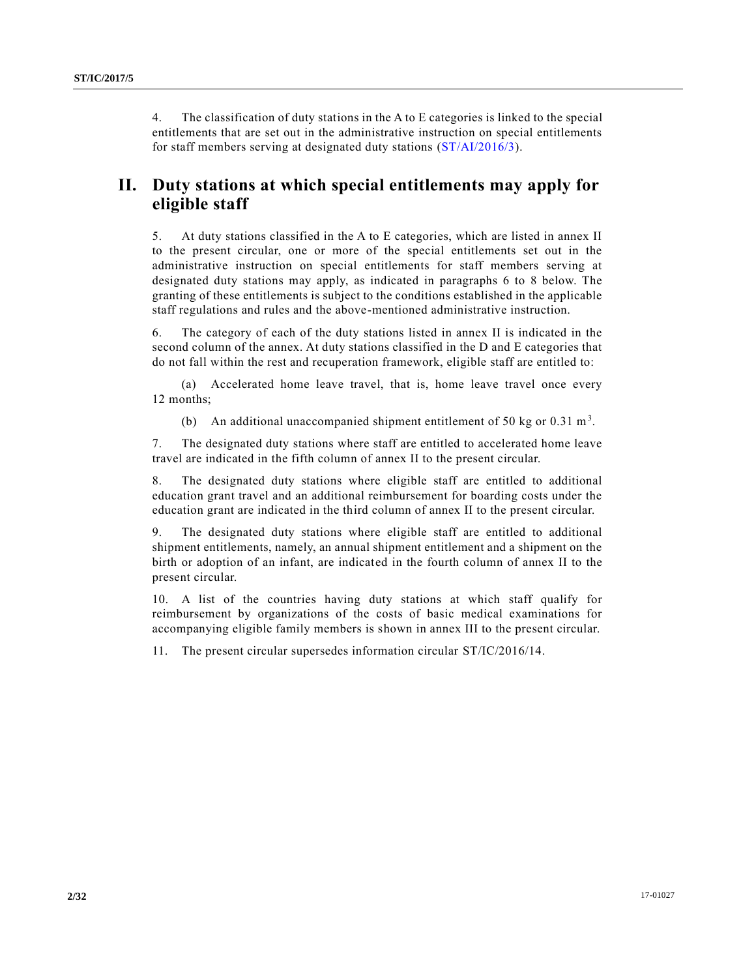4. The classification of duty stations in the A to E categories is linked to the special entitlements that are set out in the administrative instruction on special entitlements for staff members serving at designated duty stations [\(ST/AI/2016/3\)](http://undocs.org/ST/AI/2016/3).

## **II. Duty stations at which special entitlements may apply for eligible staff**

5. At duty stations classified in the A to E categories, which are listed in annex II to the present circular, one or more of the special entitlements set out in the administrative instruction on special entitlements for staff members serving at designated duty stations may apply, as indicated in paragraphs 6 to 8 below. The granting of these entitlements is subject to the conditions established in the applicable staff regulations and rules and the above-mentioned administrative instruction.

6. The category of each of the duty stations listed in annex II is indicated in the second column of the annex. At duty stations classified in the D and E categories that do not fall within the rest and recuperation framework, eligible staff are entitled to:

(a) Accelerated home leave travel, that is, home leave travel once every 12 months;

(b) An additional unaccompanied shipment entitlement of 50 kg or 0.31 m<sup>3</sup>.

7. The designated duty stations where staff are entitled to accelerated home leave travel are indicated in the fifth column of annex II to the present circular.

8. The designated duty stations where eligible staff are entitled to additional education grant travel and an additional reimbursement for boarding costs under the education grant are indicated in the third column of annex II to the present circular.

9. The designated duty stations where eligible staff are entitled to additional shipment entitlements, namely, an annual shipment entitlement and a shipment on the birth or adoption of an infant, are indicated in the fourth column of annex II to the present circular.

10. A list of the countries having duty stations at which staff qualify for reimbursement by organizations of the costs of basic medical examinations for accompanying eligible family members is shown in annex III to the present circular.

11. The present circular supersedes information circular ST/IC/2016/14.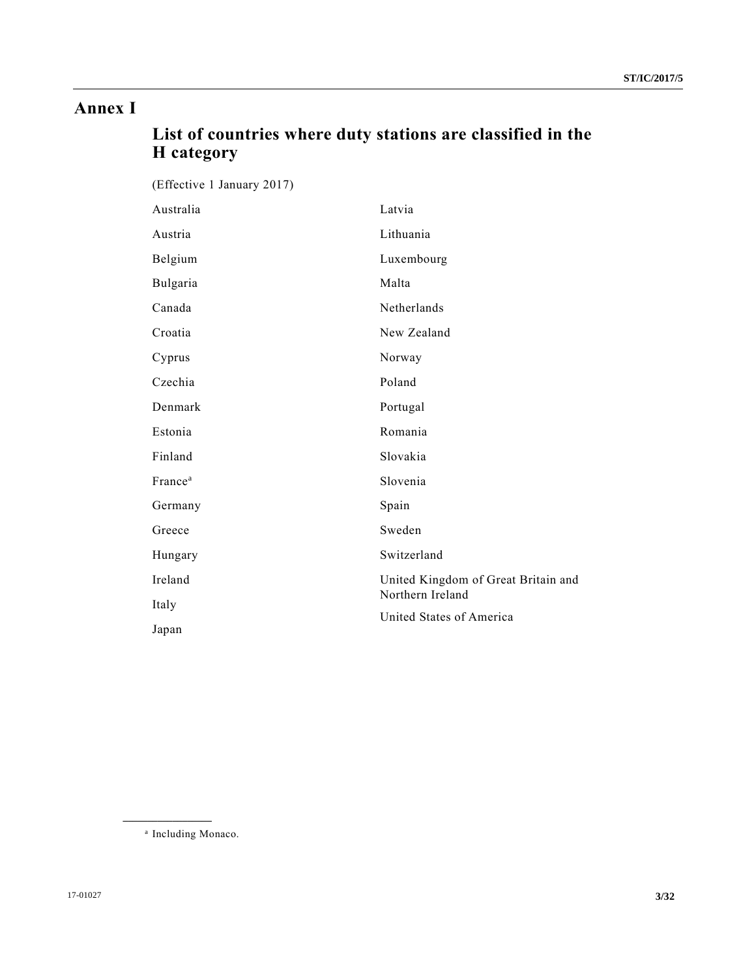# **Annex I**

# **List of countries where duty stations are classified in the H category**

| H category                 |                                     |
|----------------------------|-------------------------------------|
| (Effective 1 January 2017) |                                     |
| Australia                  | Latvia                              |
| Austria                    | Lithuania                           |
| Belgium                    | Luxembourg                          |
| Bulgaria                   | Malta                               |
| Canada                     | Netherlands                         |
| Croatia                    | New Zealand                         |
| Cyprus                     | Norway                              |
| Czechia                    | Poland                              |
| Denmark                    | Portugal                            |
| Estonia                    | Romania                             |
| Finland                    | Slovakia                            |
| France <sup>a</sup>        | Slovenia                            |
| Germany                    | Spain                               |
| Greece                     | Sweden                              |
| Hungary                    | Switzerland                         |
| Ireland                    | United Kingdom of Great Britain and |
| Italy                      | Northern Ireland                    |
| Japan                      | United States of America            |

a Including Monaco.

**\_\_\_\_\_\_\_\_\_\_\_\_\_\_\_\_\_\_**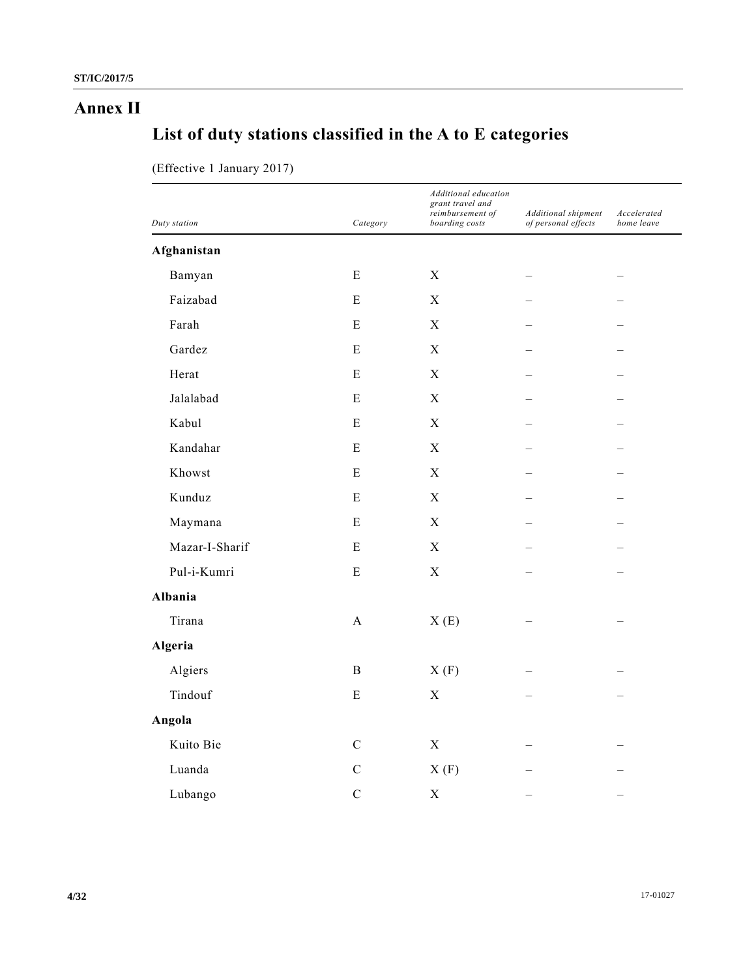# **Annex II**

# **List of duty stations classified in the A to E categories**

| Duty station   |                           | Additional education<br>grant travel and |                                            |                           |
|----------------|---------------------------|------------------------------------------|--------------------------------------------|---------------------------|
|                | Category                  | reimbursement of<br>boarding costs       | Additional shipment<br>of personal effects | Accelerated<br>home leave |
| Afghanistan    |                           |                                          |                                            |                           |
| Bamyan         | ${\bf E}$                 | $\mathbf X$                              |                                            |                           |
| Faizabad       | ${\bf E}$                 | $\mathbf X$                              |                                            |                           |
| Farah          | ${\bf E}$                 | $\mathbf X$                              |                                            |                           |
| Gardez         | ${\bf E}$                 | $\mathbf X$                              |                                            |                           |
| Herat          | ${\bf E}$                 | $\mathbf X$                              |                                            |                           |
| Jalalabad      | ${\bf E}$                 | $\mathbf X$                              |                                            |                           |
| Kabul          | E                         | $\mathbf X$                              |                                            |                           |
| Kandahar       | E                         | $\mathbf X$                              |                                            |                           |
| Khowst         | ${\bf E}$                 | X                                        |                                            |                           |
| Kunduz         | ${\bf E}$                 | $\mathbf X$                              |                                            |                           |
| Maymana        | ${\bf E}$                 | $\mathbf X$                              |                                            |                           |
| Mazar-I-Sharif | ${\bf E}$                 | $\mathbf X$                              |                                            |                           |
| Pul-i-Kumri    | ${\bf E}$                 | $\mathbf X$                              |                                            |                           |
| Albania        |                           |                                          |                                            |                           |
| Tirana         | $\boldsymbol{\mathsf{A}}$ | X(E)                                     |                                            |                           |
| Algeria        |                           |                                          |                                            |                           |
| Algiers        | $\, {\bf B}$              | X(F)                                     |                                            |                           |
| Tindouf        | ${\bf E}$                 | $\mathbf X$                              |                                            |                           |
| Angola         |                           |                                          |                                            |                           |
| Kuito Bie      | $\mathbf C$               | $\mathbf X$                              |                                            |                           |
| Luanda         | $\mathbf C$               | X(F)                                     |                                            |                           |
| Lubango        | $\overline{C}$            | $\mathbf X$                              |                                            |                           |

(Effective 1 January 2017)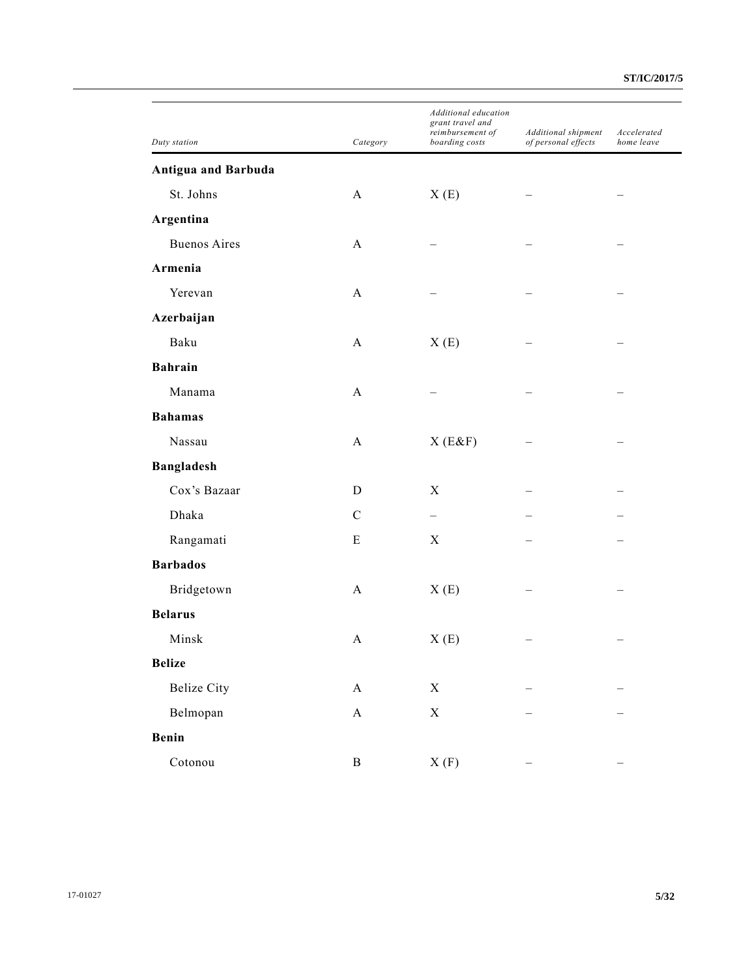| Duty station               | Category     | Additional education<br>grant travel and<br>reimbursement of<br>boarding costs | Additional shipment<br>of personal effects | Accelerated<br>home leave |
|----------------------------|--------------|--------------------------------------------------------------------------------|--------------------------------------------|---------------------------|
| <b>Antigua and Barbuda</b> |              |                                                                                |                                            |                           |
| St. Johns                  | A            | X(E)                                                                           |                                            |                           |
| Argentina                  |              |                                                                                |                                            |                           |
| <b>Buenos Aires</b>        | A            |                                                                                |                                            |                           |
| Armenia                    |              |                                                                                |                                            |                           |
| Yerevan                    | A            |                                                                                |                                            |                           |
| Azerbaijan                 |              |                                                                                |                                            |                           |
| Baku                       | A            | X(E)                                                                           |                                            |                           |
| <b>Bahrain</b>             |              |                                                                                |                                            |                           |
| Manama                     | A            |                                                                                |                                            |                           |
| <b>Bahamas</b>             |              |                                                                                |                                            |                           |
| Nassau                     | A            | X(E&F)                                                                         |                                            |                           |
| <b>Bangladesh</b>          |              |                                                                                |                                            |                           |
| Cox's Bazaar               | D            | X                                                                              |                                            |                           |
| Dhaka                      | $\mathsf{C}$ |                                                                                |                                            |                           |
| Rangamati                  | E            | X                                                                              |                                            |                           |
| <b>Barbados</b>            |              |                                                                                |                                            |                           |
| Bridgetown                 | A            | X(E)                                                                           |                                            |                           |
| <b>Belarus</b>             |              |                                                                                |                                            |                           |
| Minsk                      | A            | X(E)                                                                           |                                            |                           |
| <b>Belize</b>              |              |                                                                                |                                            |                           |
| <b>Belize City</b>         | $\mathbf{A}$ | X                                                                              |                                            |                           |
| Belmopan                   | $\mathbf A$  | $\mathbf X$                                                                    |                                            |                           |
| Benin                      |              |                                                                                |                                            |                           |
| Cotonou                    | B            | X(F)                                                                           |                                            |                           |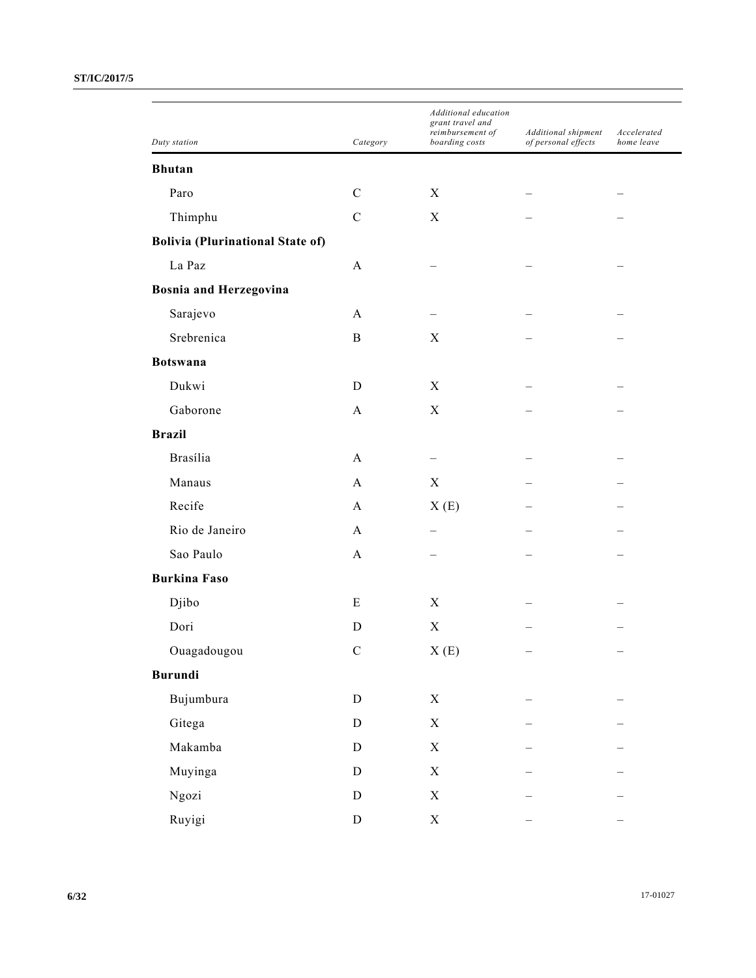|                                         |              | Additional education<br>grant travel and<br>reimbursement of<br>boarding costs | Additional shipment | Accelerated<br>home leave |
|-----------------------------------------|--------------|--------------------------------------------------------------------------------|---------------------|---------------------------|
| Duty station                            | Category     |                                                                                | of personal effects |                           |
| <b>Bhutan</b>                           |              |                                                                                |                     |                           |
| Paro                                    | $\mathbf C$  | X                                                                              |                     |                           |
| Thimphu                                 | $\mathbf C$  | X                                                                              |                     |                           |
| <b>Bolivia (Plurinational State of)</b> |              |                                                                                |                     |                           |
| La Paz                                  | $\mathbf{A}$ |                                                                                |                     |                           |
| <b>Bosnia and Herzegovina</b>           |              |                                                                                |                     |                           |
| Sarajevo                                | $\mathbf{A}$ |                                                                                |                     |                           |
| Srebrenica                              | $\, {\bf B}$ | X                                                                              |                     |                           |
| <b>Botswana</b>                         |              |                                                                                |                     |                           |
| Dukwi                                   | D            | X                                                                              |                     |                           |
| Gaborone                                | $\mathbf{A}$ | $\boldsymbol{X}$                                                               |                     |                           |
| <b>Brazil</b>                           |              |                                                                                |                     |                           |
| Brasília                                | $\mathbf{A}$ |                                                                                |                     |                           |
| Manaus                                  | $\mathbf{A}$ | $\boldsymbol{X}$                                                               |                     |                           |
| Recife                                  | $\mathbf{A}$ | X(E)                                                                           |                     |                           |
| Rio de Janeiro                          | $\mathbf{A}$ |                                                                                |                     |                           |
| Sao Paulo                               | $\mathbf{A}$ |                                                                                |                     |                           |
| <b>Burkina Faso</b>                     |              |                                                                                |                     |                           |
| Djibo                                   | E            | X                                                                              |                     |                           |
| Dori                                    | D            | $\mathbf X$                                                                    |                     |                           |
| Ouagadougou                             | $\mathbf C$  | $\boldsymbol{\mathrm{X}}$ (E)                                                  | —                   | —                         |
| <b>Burundi</b>                          |              |                                                                                |                     |                           |
| Bujumbura                               | ${\rm D}$    | $\mathbf X$                                                                    |                     |                           |
|                                         | ${\rm D}$    | $\mathbf X$                                                                    |                     |                           |
| Gitega                                  |              |                                                                                |                     |                           |
| Makamba                                 | ${\rm D}$    | $\mathbf X$                                                                    |                     |                           |
| Muyinga                                 | ${\rm D}$    | $\mathbf X$                                                                    |                     |                           |
| Ngozi                                   | ${\rm D}$    | $\mathbf X$                                                                    |                     |                           |
| Ruyigi                                  | ${\bf D}$    | $\mathbf X$                                                                    |                     |                           |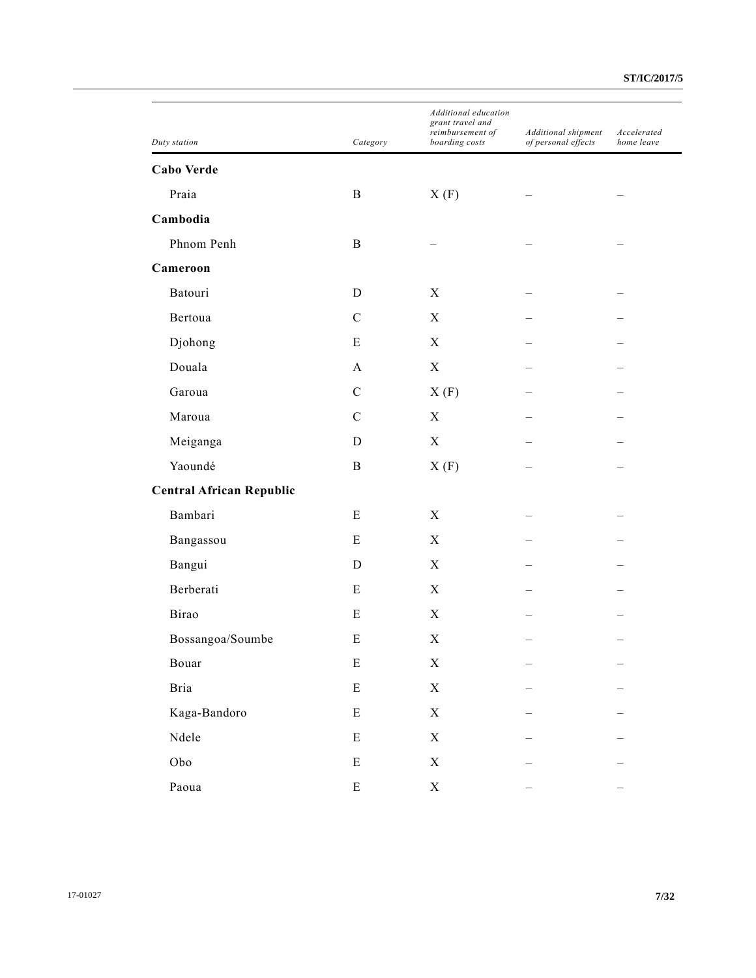| Duty station                    | Category      | Additional education<br>grant travel and<br>reimbursement of<br>boarding costs | Additional shipment<br>of personal effects | Accelerated<br>home leave |
|---------------------------------|---------------|--------------------------------------------------------------------------------|--------------------------------------------|---------------------------|
| Cabo Verde                      |               |                                                                                |                                            |                           |
| Praia                           | $\, {\bf B}$  | X(F)                                                                           |                                            |                           |
| Cambodia                        |               |                                                                                |                                            |                           |
| Phnom Penh                      | $\, {\bf B}$  |                                                                                |                                            |                           |
| Cameroon                        |               |                                                                                |                                            |                           |
| Batouri                         | D             | X                                                                              |                                            |                           |
| Bertoua                         | $\mathsf{C}$  | X                                                                              |                                            |                           |
| Djohong                         | E             | X                                                                              |                                            |                           |
| Douala                          | A             | $\mathbf X$                                                                    |                                            |                           |
| Garoua                          | $\mathbf C$   | X(F)                                                                           |                                            |                           |
| Maroua                          | $\mathcal{C}$ | X                                                                              |                                            |                           |
| Meiganga                        | D             | X                                                                              |                                            |                           |
| Yaoundé                         | $\bf{B}$      | X(F)                                                                           |                                            |                           |
| <b>Central African Republic</b> |               |                                                                                |                                            |                           |
| Bambari                         | E             | X                                                                              |                                            |                           |
| Bangassou                       | E             | X                                                                              |                                            |                           |
| Bangui                          | D             | X                                                                              |                                            |                           |
| Berberati                       | E             | X                                                                              |                                            |                           |
| Birao                           | E             | X                                                                              |                                            |                           |
| Bossangoa/Soumbe                | Ε             | $\boldsymbol{\mathrm{X}}$                                                      |                                            |                           |
| Bouar                           | ${\bf E}$     | $\mathbf X$                                                                    |                                            |                           |
| Bria                            | ${\bf E}$     | $\mathbf X$                                                                    |                                            |                           |
| Kaga-Bandoro                    | ${\bf E}$     | $\mathbf X$                                                                    |                                            |                           |
| Ndele                           | ${\bf E}$     | $\mathbf X$                                                                    |                                            |                           |
| Obo                             | ${\bf E}$     | $\mathbf X$                                                                    |                                            |                           |
| Paoua                           | ${\bf E}$     | $\mathbf X$                                                                    |                                            |                           |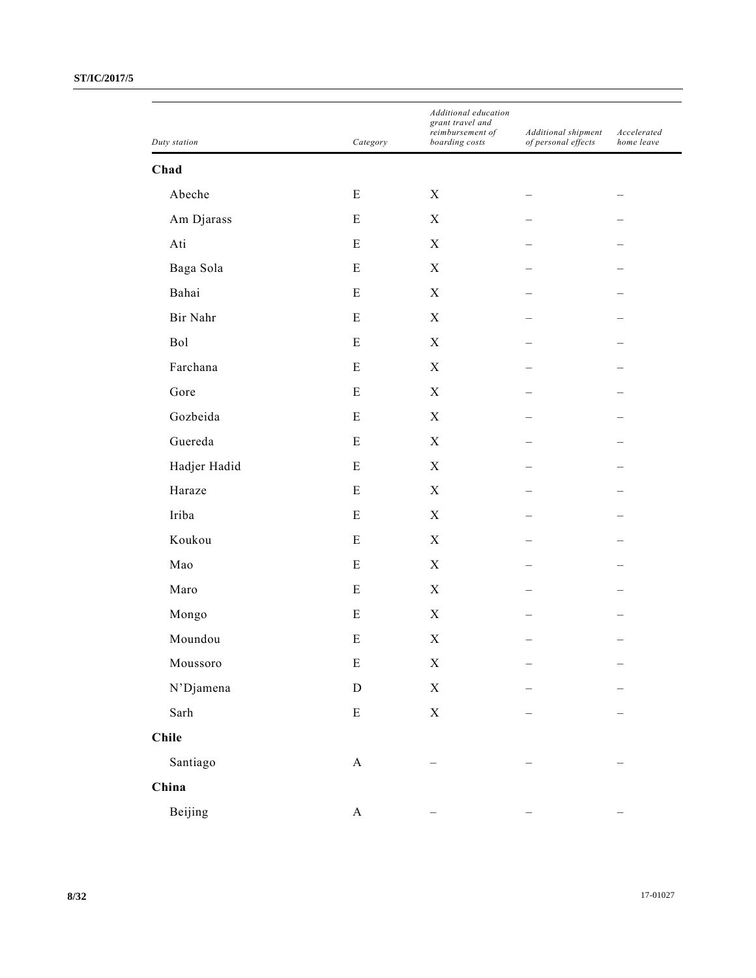|              |              | Additional education<br>grant travel and<br>reimbursement of | Additional shipment | Accelerated |
|--------------|--------------|--------------------------------------------------------------|---------------------|-------------|
| Duty station | Category     | boarding costs                                               | of personal effects | home leave  |
| Chad         |              |                                                              |                     |             |
| Abeche       | E            | X                                                            |                     |             |
| Am Djarass   | E            | $\mathbf X$                                                  |                     |             |
| Ati          | ${\bf E}$    | $\mathbf X$                                                  |                     |             |
| Baga Sola    | E            | $\mathbf X$                                                  |                     |             |
| Bahai        | E            | $\mathbf X$                                                  |                     |             |
| Bir Nahr     | ${\bf E}$    | $\mathbf X$                                                  |                     |             |
| Bol          | E            | $\mathbf X$                                                  |                     |             |
| Farchana     | E            | $\mathbf X$                                                  |                     |             |
| Gore         | ${\bf E}$    | $\mathbf X$                                                  |                     |             |
| Gozbeida     | E            | $\mathbf X$                                                  |                     |             |
| Guereda      | E            | $\mathbf X$                                                  |                     |             |
| Hadjer Hadid | ${\bf E}$    | $\mathbf X$                                                  |                     |             |
| Haraze       | E            | $\mathbf X$                                                  |                     |             |
| Iriba        | E            | $\mathbf X$                                                  |                     |             |
| Koukou       | ${\bf E}$    | $\mathbf X$                                                  |                     |             |
| Mao          | E            | $\mathbf X$                                                  |                     |             |
| Maro         | E            | $\mathbf X$                                                  |                     |             |
| Mongo        | E            | $\mathbf X$                                                  |                     |             |
| Moundou      | ${\bf E}$    | $\mathbf X$                                                  |                     |             |
| Moussoro     | ${\bf E}$    | $\mathbf X$                                                  |                     |             |
| N'Djamena    | ${\bf D}$    | $\mathbf X$                                                  |                     |             |
| Sarh         | ${\bf E}$    | $\mathbf X$                                                  |                     |             |
| <b>Chile</b> |              |                                                              |                     |             |
| Santiago     | $\mathbf A$  |                                                              |                     |             |
| China        |              |                                                              |                     |             |
| Beijing      | $\mathbf{A}$ |                                                              |                     |             |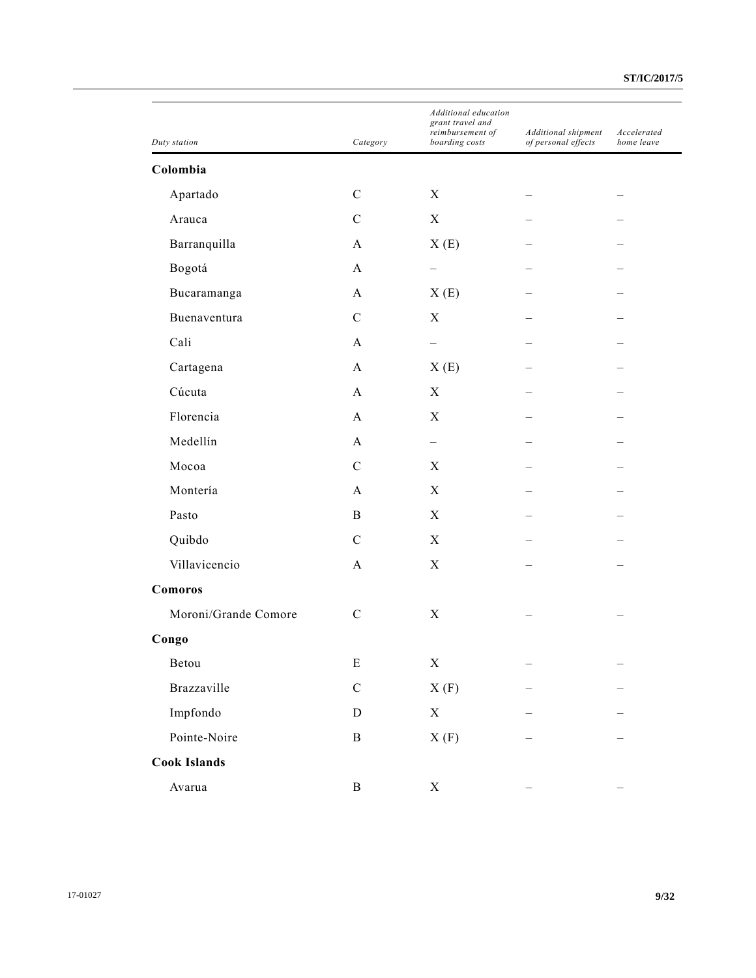| Duty station         | Category      | Additional education<br>grant travel and<br>reimbursement of<br>boarding costs | Additional shipment<br>of personal effects | Accelerated<br>home leave |
|----------------------|---------------|--------------------------------------------------------------------------------|--------------------------------------------|---------------------------|
| Colombia             |               |                                                                                |                                            |                           |
| Apartado             | $\mathcal{C}$ | $\mathbf X$                                                                    |                                            |                           |
| Arauca               | $\mathbf C$   | $\mathbf X$                                                                    |                                            |                           |
| Barranquilla         | $\mathbf{A}$  | X(E)                                                                           |                                            |                           |
| Bogotá               | A             | $\overline{\phantom{m}}$                                                       |                                            |                           |
| Bucaramanga          | A             | X(E)                                                                           |                                            |                           |
| Buenaventura         | $\mathbf C$   | X                                                                              |                                            |                           |
| Cali                 | A             | $\qquad \qquad -$                                                              |                                            |                           |
| Cartagena            | A             | X(E)                                                                           |                                            |                           |
| Cúcuta               | $\mathbf{A}$  | X                                                                              |                                            |                           |
| Florencia            | A             | X                                                                              |                                            |                           |
| Medellín             | A             | $\qquad \qquad -$                                                              |                                            |                           |
| Mocoa                | $\mathbf C$   | X                                                                              |                                            |                           |
| Montería             | A             | X                                                                              |                                            |                           |
| Pasto                | $\mathbf B$   | X                                                                              |                                            |                           |
| Quibdo               | $\mathbf C$   | $\mathbf X$                                                                    |                                            |                           |
| Villavicencio        | $\mathbf{A}$  | X                                                                              |                                            |                           |
| Comoros              |               |                                                                                |                                            |                           |
| Moroni/Grande Comore | $\mathbf C$   | $\mathbf X$                                                                    |                                            |                           |
| Congo                |               |                                                                                |                                            |                           |
| Betou                | ${\bf E}$     | $\mathbf X$                                                                    |                                            |                           |
| Brazzaville          | $\mathbf C$   | X(F)                                                                           |                                            |                           |
| Impfondo             | ${\rm D}$     | $\mathbf X$                                                                    |                                            |                           |
| Pointe-Noire         | $\, {\bf B}$  | X(F)                                                                           |                                            |                           |
| <b>Cook Islands</b>  |               |                                                                                |                                            |                           |
| Avarua               | $\, {\bf B}$  | $\mathbf X$                                                                    |                                            |                           |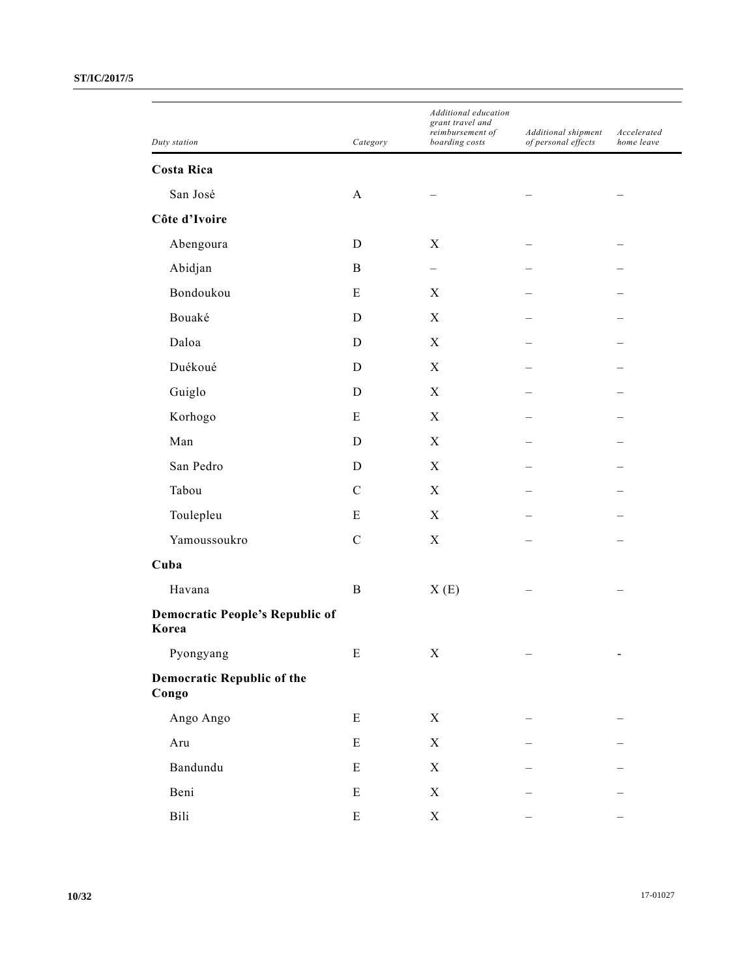| Duty station                                    | Category      | Additional education<br>grant travel and<br>reimbursement of<br>boarding costs | Additional shipment<br>of personal effects | Accelerated<br>home leave    |
|-------------------------------------------------|---------------|--------------------------------------------------------------------------------|--------------------------------------------|------------------------------|
| <b>Costa Rica</b>                               |               |                                                                                |                                            |                              |
| San José                                        | $\mathbf{A}$  |                                                                                |                                            |                              |
| Côte d'Ivoire                                   |               |                                                                                |                                            |                              |
| Abengoura                                       | D             | X                                                                              |                                            |                              |
| Abidjan                                         | B             |                                                                                |                                            |                              |
| Bondoukou                                       | E             | X                                                                              |                                            |                              |
| Bouaké                                          | D             | X                                                                              |                                            |                              |
| Daloa                                           | D             | $\boldsymbol{X}$                                                               |                                            |                              |
| Duékoué                                         | D             | $\boldsymbol{X}$                                                               |                                            |                              |
| Guiglo                                          | D             | X                                                                              |                                            |                              |
| Korhogo                                         | Ε             | $\boldsymbol{X}$                                                               |                                            |                              |
| Man                                             | D             | $\boldsymbol{X}$                                                               |                                            |                              |
| San Pedro                                       | D             | X                                                                              |                                            |                              |
| Tabou                                           | $\mathcal{C}$ | $\boldsymbol{X}$                                                               |                                            |                              |
| Toulepleu                                       | Ε             | $\boldsymbol{X}$                                                               |                                            |                              |
| Yamoussoukro                                    | $\mathbf C$   | X                                                                              |                                            |                              |
| Cuba                                            |               |                                                                                |                                            |                              |
| Havana                                          | $\, {\bf B}$  | X(E)                                                                           |                                            |                              |
| <b>Democratic People's Republic of</b><br>Korea |               |                                                                                |                                            |                              |
| Pyongyang                                       | E             | X                                                                              | $\overline{\phantom{m}}$                   | $\qquad \qquad \blacksquare$ |
| <b>Democratic Republic of the</b><br>Congo      |               |                                                                                |                                            |                              |
| Ango Ango                                       | ${\bf E}$     | $\mathbf X$                                                                    |                                            |                              |
| Aru                                             | ${\bf E}$     | $\mathbf X$                                                                    |                                            |                              |
| Bandundu                                        | $\mathbf E$   | $\mathbf X$                                                                    |                                            |                              |
| Beni                                            | ${\bf E}$     | X                                                                              |                                            |                              |
| Bili                                            | ${\bf E}$     | $\mathbf X$                                                                    |                                            |                              |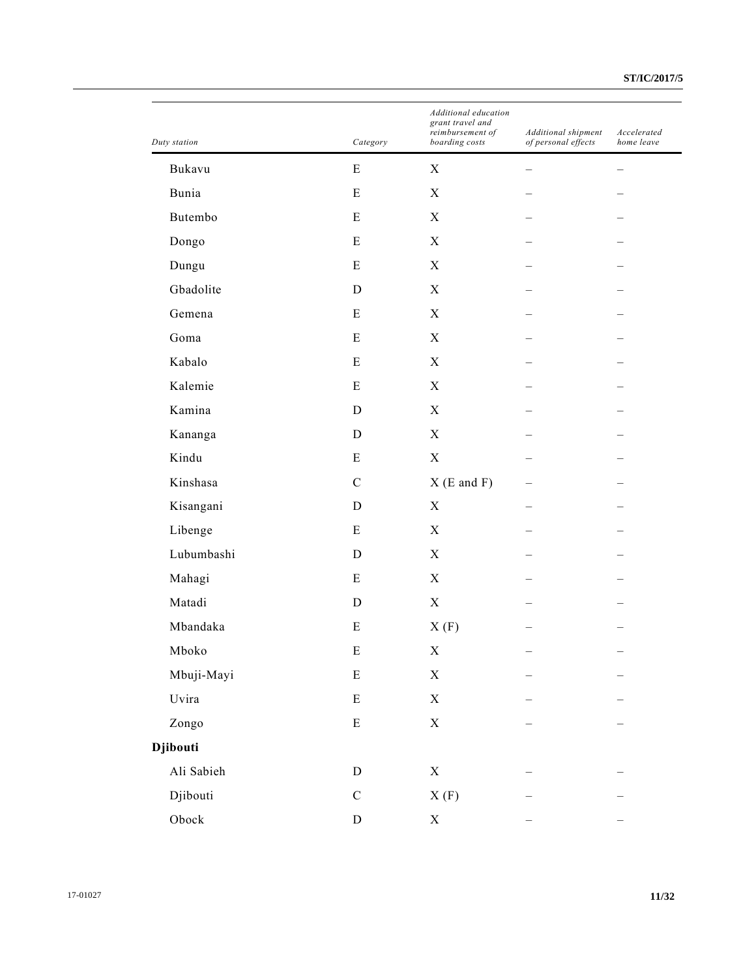| Duty station  | Category    | Additional education<br>grant travel and<br>reimbursement of<br>boarding costs | Additional shipment<br>of personal effects | Accelerated<br>home leave |
|---------------|-------------|--------------------------------------------------------------------------------|--------------------------------------------|---------------------------|
| Bukavu        | ${\bf E}$   | $\mathbf X$                                                                    |                                            |                           |
| Bunia         | E           | X                                                                              |                                            |                           |
| Butembo       | ${\bf E}$   | $\mathbf X$                                                                    |                                            |                           |
| Dongo         | ${\bf E}$   | $\mathbf X$                                                                    |                                            |                           |
| Dungu         | ${\bf E}$   | $\mathbf X$                                                                    |                                            |                           |
| Gbadolite     | D           | $\mathbf X$                                                                    |                                            |                           |
| Gemena        | E           | $\mathbf X$                                                                    |                                            |                           |
| Goma          | ${\bf E}$   | $\mathbf X$                                                                    |                                            |                           |
| Kabalo        | ${\bf E}$   | $\mathbf X$                                                                    |                                            |                           |
| Kalemie       | Ε           | $\boldsymbol{X}$                                                               |                                            |                           |
| Kamina        | $\mathbf D$ | $\mathbf X$                                                                    |                                            |                           |
| Kananga       | $\mathbf D$ | $\mathbf X$                                                                    |                                            |                           |
| Kindu         | ${\bf E}$   | $\mathbf X$                                                                    |                                            |                           |
| Kinshasa      | $\mathbf C$ | $X(E \text{ and } F)$                                                          |                                            |                           |
| Kisangani     | D           | $\boldsymbol{X}$                                                               |                                            |                           |
| Libenge       | ${\bf E}$   | $\mathbf X$                                                                    |                                            |                           |
| Lubumbashi    | D           | $\mathbf X$                                                                    |                                            |                           |
| Mahagi        | E           | $\boldsymbol{X}$                                                               |                                            |                           |
| Matadi        | D           | $\mathbf X$                                                                    |                                            |                           |
| Mbandaka      | E           | X(F)                                                                           |                                            |                           |
| Mboko         | ${\bf E}$   | X                                                                              |                                            |                           |
| Mbuji-Mayi    | ${\bf E}$   | $\mathbf X$                                                                    |                                            |                           |
| Uvira         | ${\bf E}$   | $\mathbf X$                                                                    |                                            |                           |
| Zongo         | ${\bf E}$   | $\mathbf X$                                                                    |                                            |                           |
| Djibouti      |             |                                                                                |                                            |                           |
| Ali Sabieh    | ${\bf D}$   | $\mathbf X$                                                                    |                                            |                           |
| Djibouti      | ${\bf C}$   | $X(F)$                                                                         |                                            |                           |
| ${\rm Obock}$ | ${\rm D}$   | $\mathbf X$                                                                    |                                            |                           |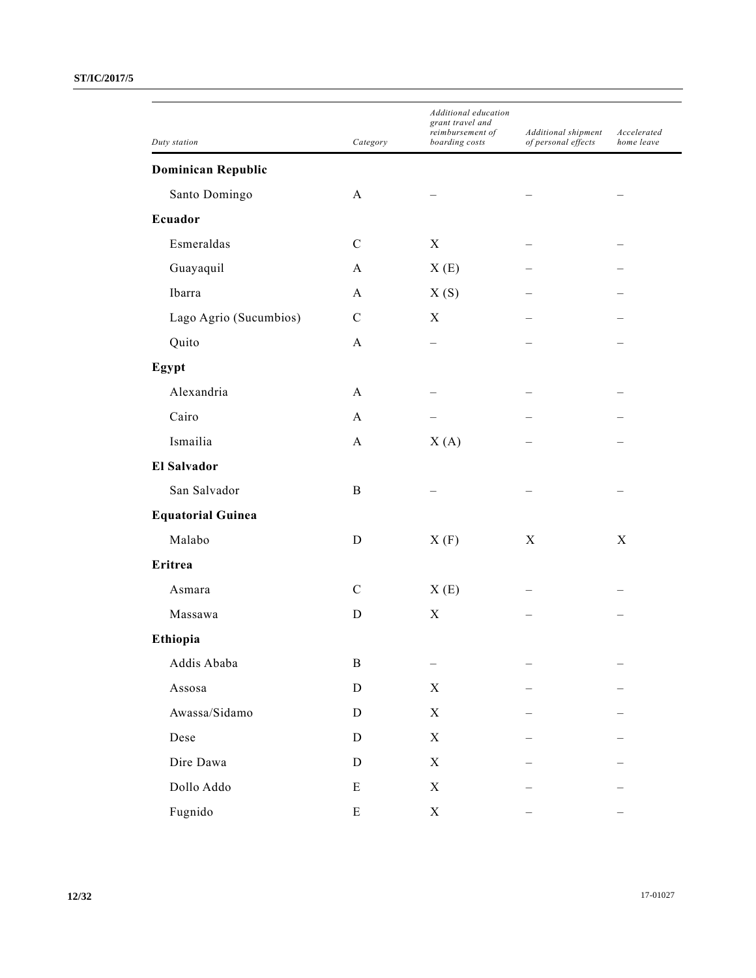| Duty station              | Category      | Additional education<br>grant travel and<br>reimbursement of<br>boarding costs | Additional shipment<br>of personal effects | Accelerated<br>home leave |
|---------------------------|---------------|--------------------------------------------------------------------------------|--------------------------------------------|---------------------------|
|                           |               |                                                                                |                                            |                           |
| <b>Dominican Republic</b> |               |                                                                                |                                            |                           |
| Santo Domingo             | A             |                                                                                |                                            |                           |
| Ecuador                   |               |                                                                                |                                            |                           |
| Esmeraldas                | $\mathbf C$   | X                                                                              |                                            |                           |
| Guayaquil                 | A             | X(E)                                                                           |                                            |                           |
| Ibarra                    | A             | X(S)                                                                           |                                            |                           |
| Lago Agrio (Sucumbios)    | $\mathbf C$   | X                                                                              |                                            |                           |
| Quito                     | A             |                                                                                |                                            |                           |
| Egypt                     |               |                                                                                |                                            |                           |
| Alexandria                | $\mathbf{A}$  |                                                                                |                                            |                           |
| Cairo                     | A             |                                                                                |                                            |                           |
| Ismailia                  | A             | X(A)                                                                           |                                            |                           |
| <b>El Salvador</b>        |               |                                                                                |                                            |                           |
| San Salvador              | B             |                                                                                |                                            |                           |
| <b>Equatorial Guinea</b>  |               |                                                                                |                                            |                           |
| Malabo                    | D             | X(F)                                                                           | X                                          | X                         |
| Eritrea                   |               |                                                                                |                                            |                           |
| Asmara                    | $\mathcal{C}$ | X(E)                                                                           |                                            |                           |
| Massawa                   | D             | X                                                                              |                                            |                           |
| Ethiopia                  |               |                                                                                |                                            |                           |
| Addis Ababa               | $\, {\bf B}$  |                                                                                |                                            |                           |
| Assosa                    | ${\bf D}$     | X                                                                              |                                            |                           |
| Awassa/Sidamo             | $\mathbf D$   | $\boldsymbol{\mathrm{X}}$                                                      |                                            |                           |
| Dese                      | ${\rm D}$     | $\boldsymbol{\mathrm{X}}$                                                      |                                            |                           |
| Dire Dawa                 | ${\bf D}$     | X                                                                              |                                            |                           |
| Dollo Addo                | E             | $\mathbf X$                                                                    |                                            |                           |
| Fugnido                   | E             | $\mathbf X$                                                                    |                                            |                           |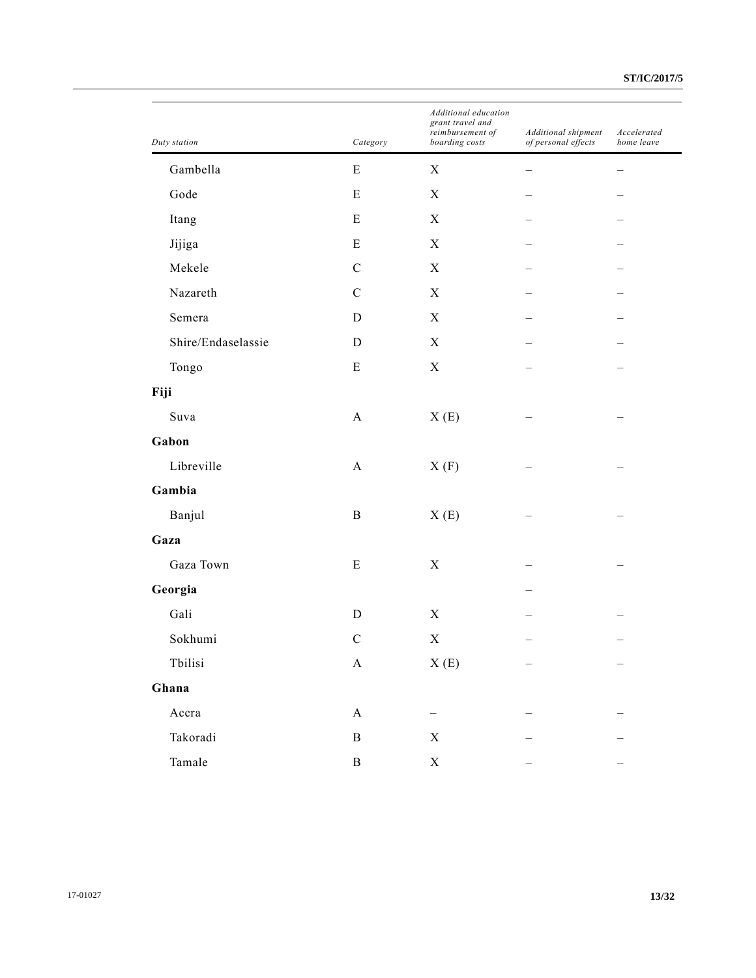| Duty station       | Category                  | Additional education<br>grant travel and<br>reimbursement of<br>boarding costs | Additional shipment<br>of personal effects | Accelerated<br>home leave |
|--------------------|---------------------------|--------------------------------------------------------------------------------|--------------------------------------------|---------------------------|
| Gambella           | E                         | $\mathbf X$                                                                    |                                            |                           |
| Gode               | E                         | X                                                                              |                                            |                           |
| Itang              | ${\bf E}$                 | $\mathbf X$                                                                    |                                            |                           |
| Jijiga             | E                         | $\mathbf X$                                                                    |                                            |                           |
| Mekele             | $\mathcal{C}$             | X                                                                              |                                            |                           |
| Nazareth           | $\mathbf C$               | $\mathbf X$                                                                    |                                            |                           |
| Semera             | D                         | $\boldsymbol{\mathrm{X}}$                                                      |                                            |                           |
| Shire/Endaselassie | D                         | X                                                                              |                                            |                           |
| Tongo              | E                         | $\mathbf X$                                                                    |                                            |                           |
| Fiji               |                           |                                                                                |                                            |                           |
| Suva               | $\mathbf{A}$              | X(E)                                                                           |                                            |                           |
| Gabon              |                           |                                                                                |                                            |                           |
| Libreville         | $\boldsymbol{\rm{A}}$     | X(F)                                                                           |                                            |                           |
| Gambia             |                           |                                                                                |                                            |                           |
| Banjul             | $\, {\bf B}$              | X(E)                                                                           |                                            |                           |
| Gaza               |                           |                                                                                |                                            |                           |
| Gaza Town          | E                         | $\mathbf X$                                                                    |                                            |                           |
| Georgia            |                           |                                                                                |                                            |                           |
| Gali               | $\mathbf D$               | $\mathbf X$                                                                    |                                            |                           |
| Sokhumi            | $\mathbf C$               | X                                                                              |                                            |                           |
| ${\it Tbilisi}$    | $\mathbf A$               | X(E)                                                                           | —                                          |                           |
| Ghana              |                           |                                                                                |                                            |                           |
| Accra              | $\boldsymbol{\mathsf{A}}$ |                                                                                |                                            |                           |
| Takoradi           | $\, {\bf B}$              | $\mathbf X$                                                                    |                                            |                           |
| Tamale             | $\, {\bf B}$              | $\mathbf X$                                                                    |                                            |                           |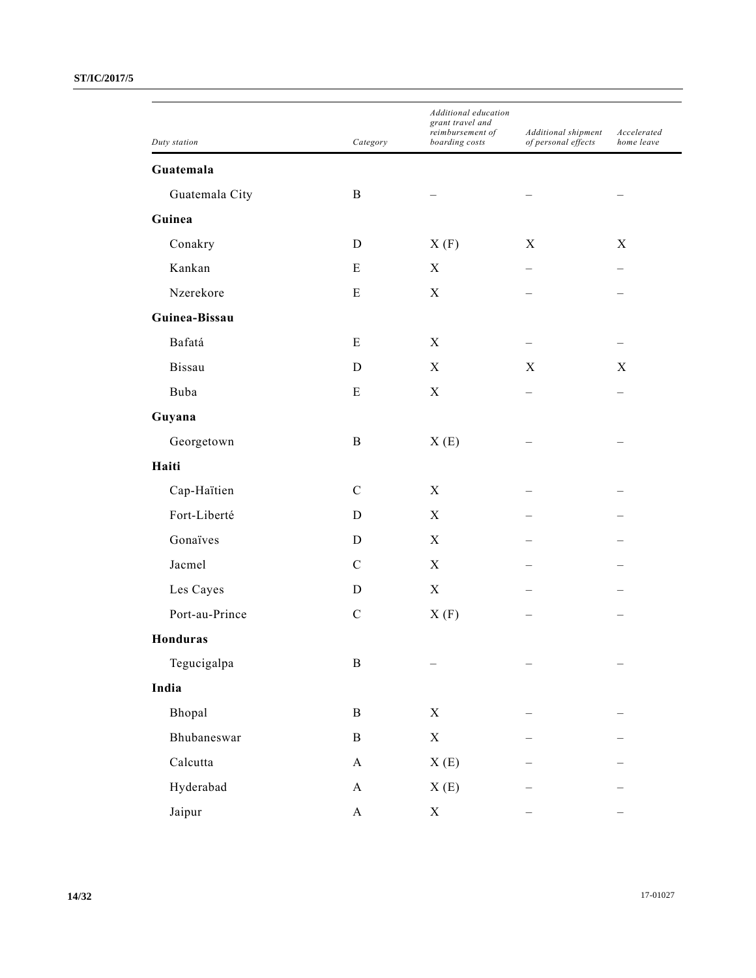| Duty station    | Category      | Additional education<br>grant travel and<br>reimbursement of<br>boarding costs | Additional shipment<br>of personal effects | Accelerated<br>home leave |
|-----------------|---------------|--------------------------------------------------------------------------------|--------------------------------------------|---------------------------|
| Guatemala       |               |                                                                                |                                            |                           |
| Guatemala City  | B             |                                                                                |                                            |                           |
| Guinea          |               |                                                                                |                                            |                           |
| Conakry         | D             | X(F)                                                                           | X                                          | X                         |
| Kankan          | E             | X                                                                              |                                            |                           |
| Nzerekore       | Е             | X                                                                              |                                            |                           |
| Guinea-Bissau   |               |                                                                                |                                            |                           |
| Bafatá          | E             | X                                                                              |                                            |                           |
| Bissau          | D             | X                                                                              | X                                          | X                         |
| Buba            | E             | $\boldsymbol{\mathrm{X}}$                                                      |                                            |                           |
| Guyana          |               |                                                                                |                                            |                           |
|                 | B             |                                                                                |                                            |                           |
| Georgetown      |               | X(E)                                                                           |                                            |                           |
| Haiti           |               |                                                                                |                                            |                           |
| Cap-Haïtien     | $\mathbf C$   | X                                                                              |                                            |                           |
| Fort-Liberté    | D             | X                                                                              |                                            |                           |
| Gonaïves        | D             | X                                                                              |                                            |                           |
| Jacmel          | $\mathcal{C}$ | X                                                                              |                                            |                           |
| Les Cayes       | D             | $\boldsymbol{\mathrm{X}}$                                                      |                                            |                           |
| Port-au-Prince  | $\mathbf C$   | X(F)                                                                           |                                            |                           |
| <b>Honduras</b> |               |                                                                                |                                            |                           |
| Tegucigalpa     | $\, {\bf B}$  |                                                                                |                                            |                           |
| India           |               |                                                                                |                                            |                           |
| Bhopal          | $\mathbf B$   | $\mathbf X$                                                                    |                                            |                           |
| Bhubaneswar     | $\, {\bf B}$  | $\mathbf X$                                                                    |                                            |                           |
| Calcutta        | $\mathbf{A}$  | X(E)                                                                           |                                            |                           |
| Hyderabad       | $\mathbf{A}$  | X(E)                                                                           |                                            |                           |
| Jaipur          | $\mathbf{A}$  | $\boldsymbol{\mathrm{X}}$                                                      |                                            |                           |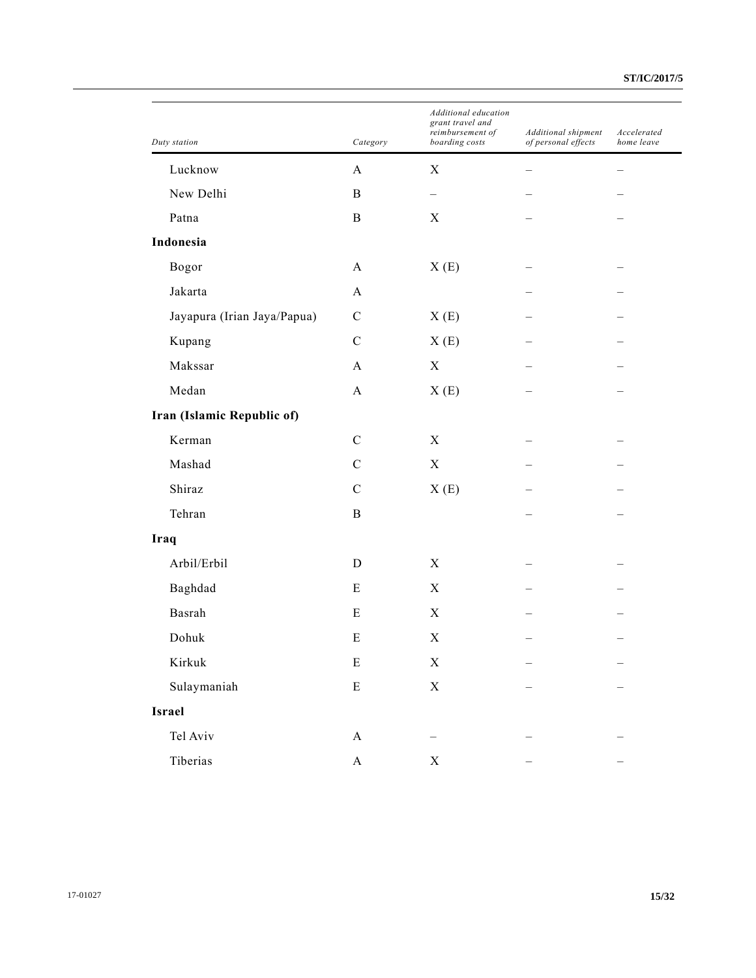| Duty station                | Category     | Additional education<br>grant travel and<br>reimbursement of<br>boarding costs | Additional shipment<br>of personal effects | Accelerated<br>home leave |
|-----------------------------|--------------|--------------------------------------------------------------------------------|--------------------------------------------|---------------------------|
| Lucknow                     | $\mathbf{A}$ | $\mathbf X$                                                                    |                                            |                           |
| New Delhi                   | B            | $\overline{\phantom{0}}$                                                       |                                            |                           |
| Patna                       | B            | $\mathbf X$                                                                    |                                            |                           |
| Indonesia                   |              |                                                                                |                                            |                           |
| Bogor                       | A            | X(E)                                                                           |                                            |                           |
| Jakarta                     | $\mathbf{A}$ |                                                                                |                                            |                           |
| Jayapura (Irian Jaya/Papua) | $\mathbf C$  | X(E)                                                                           |                                            |                           |
| Kupang                      | $\mathbf C$  | X(E)                                                                           |                                            |                           |
| Makssar                     | A            | $\mathbf X$                                                                    |                                            |                           |
| Medan                       | $\mathbf{A}$ | X(E)                                                                           |                                            |                           |
| Iran (Islamic Republic of)  |              |                                                                                |                                            |                           |
| Kerman                      | $\mathbf C$  | $\boldsymbol{\mathrm{X}}$                                                      |                                            |                           |
| Mashad                      | $\mathbf C$  | $\mathbf X$                                                                    |                                            |                           |
| Shiraz                      | $\mathbf C$  | X(E)                                                                           |                                            |                           |
| Tehran                      | B            |                                                                                |                                            |                           |
| Iraq                        |              |                                                                                |                                            |                           |
| Arbil/Erbil                 | D            | $\boldsymbol{X}$                                                               |                                            |                           |
| Baghdad                     | E            | $\boldsymbol{X}$                                                               |                                            |                           |
| Basrah                      | E            | $\mathbf X$                                                                    |                                            |                           |
| Dohuk                       | E            | X                                                                              |                                            |                           |
| Kirkuk                      | ${\bf E}$    | $\mathbf X$                                                                    |                                            |                           |
| Sulaymaniah                 | ${\bf E}$    | $\mathbf X$                                                                    |                                            |                           |
| Israel                      |              |                                                                                |                                            |                           |
| Tel Aviv                    | $\mathbf A$  |                                                                                |                                            |                           |
| Tiberias                    | $\mathbf A$  | X                                                                              |                                            |                           |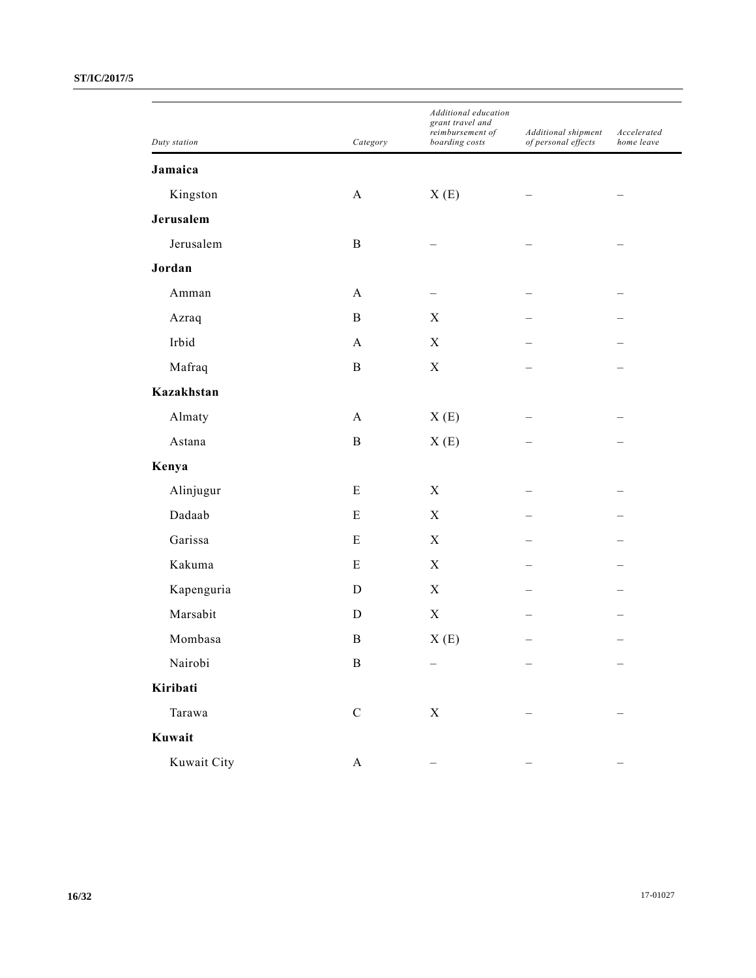| Duty station | Category              | Additional education<br>grant travel and<br>reimbursement of<br>boarding costs | Additional shipment<br>of personal effects | Accelerated<br>home leave |
|--------------|-----------------------|--------------------------------------------------------------------------------|--------------------------------------------|---------------------------|
| Jamaica      |                       |                                                                                |                                            |                           |
| Kingston     | A                     | X(E)                                                                           |                                            |                           |
| Jerusalem    |                       |                                                                                |                                            |                           |
| Jerusalem    | $\, {\bf B}$          |                                                                                |                                            |                           |
| Jordan       |                       |                                                                                |                                            |                           |
| Amman        | A                     |                                                                                |                                            |                           |
| Azraq        | $\, {\bf B}$          | $\mathbf X$                                                                    |                                            |                           |
| Irbid        | $\mathbf{A}$          | $\boldsymbol{\mathrm{X}}$                                                      |                                            |                           |
| Mafraq       | $\bf{B}$              | $\mathbf X$                                                                    |                                            |                           |
| Kazakhstan   |                       |                                                                                |                                            |                           |
| Almaty       | $\mathbf{A}$          | X(E)                                                                           |                                            |                           |
| Astana       | $\, {\bf B}$          | X(E)                                                                           |                                            |                           |
| Kenya        |                       |                                                                                |                                            |                           |
| Alinjugur    | Ε                     | $\boldsymbol{\mathrm{X}}$                                                      |                                            |                           |
| Dadaab       | E                     | $\mathbf X$                                                                    |                                            |                           |
| Garissa      | ${\bf E}$             | $\mathbf X$                                                                    |                                            |                           |
| Kakuma       | Ε                     | $\boldsymbol{\mathrm{X}}$                                                      |                                            |                           |
| Kapenguria   | $\mathbf D$           | $\mathbf X$                                                                    |                                            |                           |
| Marsabit     | D                     | $\mathbf X$                                                                    |                                            |                           |
| Mombasa      | $\bf{B}$              | X(E)                                                                           |                                            |                           |
| Nairobi      | $\, {\bf B}$          |                                                                                |                                            |                           |
| Kiribati     |                       |                                                                                |                                            |                           |
| Tarawa       | ${\bf C}$             | $\mathbf X$                                                                    |                                            |                           |
| Kuwait       |                       |                                                                                |                                            |                           |
| Kuwait City  | $\boldsymbol{\rm{A}}$ |                                                                                |                                            |                           |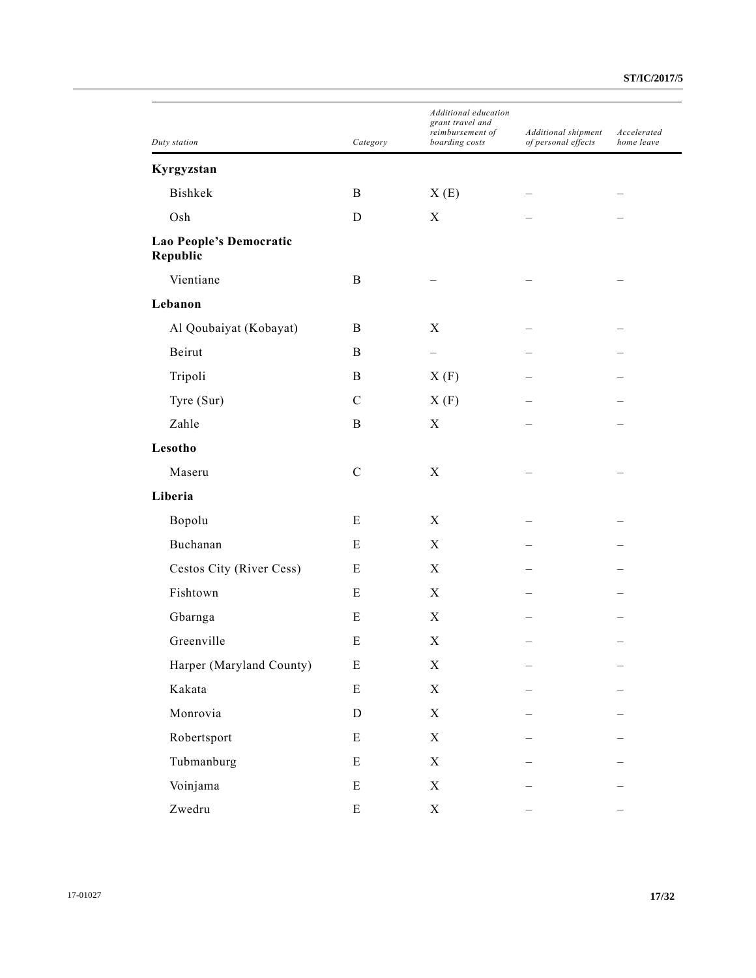| Duty station                        | Category    | Additional education<br>grant travel and<br>reimbursement of<br>boarding costs | Additional shipment<br>of personal effects | Accelerated<br>home leave |
|-------------------------------------|-------------|--------------------------------------------------------------------------------|--------------------------------------------|---------------------------|
| Kyrgyzstan                          |             |                                                                                |                                            |                           |
| Bishkek                             | B           | X(E)                                                                           |                                            |                           |
| Osh                                 | D           | X                                                                              |                                            |                           |
| Lao People's Democratic<br>Republic |             |                                                                                |                                            |                           |
| Vientiane                           | B           |                                                                                |                                            |                           |
| Lebanon                             |             |                                                                                |                                            |                           |
| Al Qoubaiyat (Kobayat)              | B           | X                                                                              |                                            |                           |
| Beirut                              | B           |                                                                                |                                            |                           |
| Tripoli                             | B           | X(F)                                                                           |                                            |                           |
| Tyre (Sur)                          | $\mathbf C$ | X(F)                                                                           |                                            |                           |
| Zahle                               | B           | X                                                                              |                                            |                           |
| Lesotho                             |             |                                                                                |                                            |                           |
| Maseru                              | $\mathbf C$ | X                                                                              |                                            |                           |
| Liberia                             |             |                                                                                |                                            |                           |
| Bopolu                              | E           | X                                                                              |                                            |                           |
| Buchanan                            | E           | X                                                                              |                                            |                           |
| Cestos City (River Cess)            | E           | $\boldsymbol{X}$                                                               |                                            |                           |
| Fishtown                            | E           | X                                                                              |                                            |                           |
| Gbarnga                             | E           | X                                                                              |                                            |                           |
| Greenville                          | E           | $\boldsymbol{\mathrm{X}}$                                                      |                                            |                           |
| Harper (Maryland County)            | ${\bf E}$   | $\mathbf X$                                                                    |                                            |                           |
| Kakata                              | E           | $\mathbf X$                                                                    |                                            |                           |
| Monrovia                            | $\mathbf D$ | $\mathbf X$                                                                    |                                            |                           |
| Robertsport                         | E           | $\mathbf X$                                                                    |                                            |                           |
| Tubmanburg                          | E           | $\mathbf X$                                                                    |                                            |                           |
| Voinjama                            | E           | $\mathbf X$                                                                    |                                            |                           |
| Zwedru                              | ${\bf E}$   | $\mathbf X$                                                                    |                                            |                           |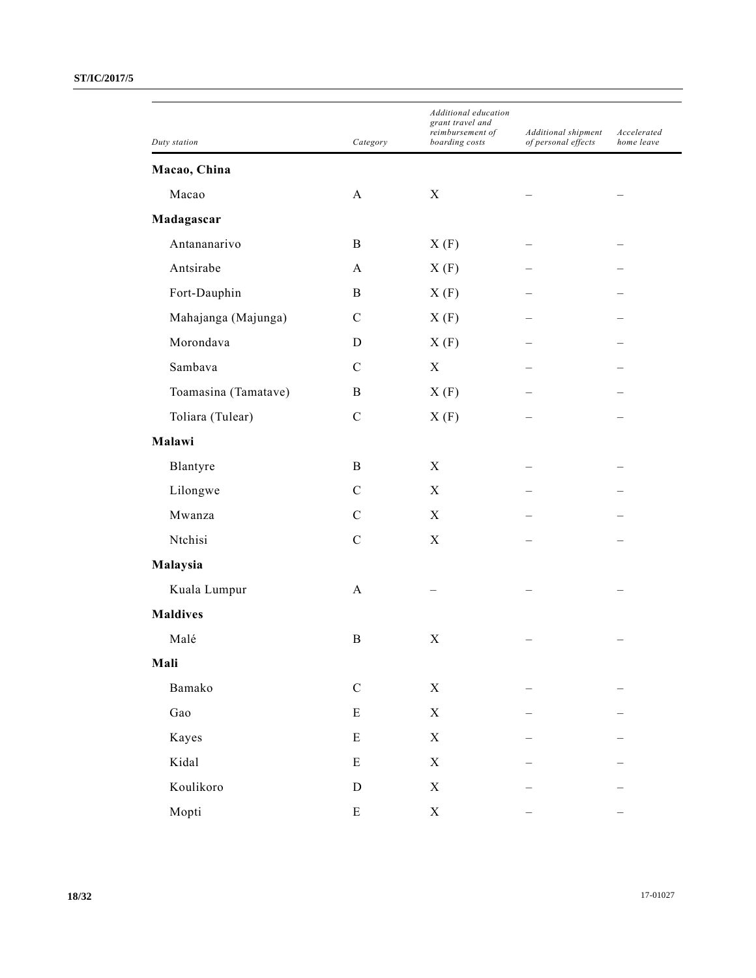| Duty station         | Category      | Additional education<br>grant travel and<br>reimbursement of<br>boarding costs | Additional shipment<br>of personal effects | Accelerated<br>home leave |
|----------------------|---------------|--------------------------------------------------------------------------------|--------------------------------------------|---------------------------|
| Macao, China         |               |                                                                                |                                            |                           |
| Macao                | $\mathbf{A}$  | X                                                                              |                                            |                           |
| Madagascar           |               |                                                                                |                                            |                           |
| Antananarivo         | B             | X(F)                                                                           |                                            |                           |
| Antsirabe            | A             | X(F)                                                                           |                                            |                           |
| Fort-Dauphin         | B             | X(F)                                                                           |                                            |                           |
| Mahajanga (Majunga)  | $\mathcal{C}$ | X(F)                                                                           |                                            |                           |
| Morondava            | D             | X(F)                                                                           |                                            |                           |
| Sambava              | $\mathcal{C}$ | X                                                                              |                                            |                           |
| Toamasina (Tamatave) | B             | X(F)                                                                           |                                            |                           |
| Toliara (Tulear)     | $\mathbf C$   | X(F)                                                                           |                                            |                           |
| Malawi               |               |                                                                                |                                            |                           |
| Blantyre             | B             | $\mathbf X$                                                                    |                                            |                           |
| Lilongwe             | $\mathbf C$   | X                                                                              |                                            |                           |
| Mwanza               | $\mathcal{C}$ | X                                                                              |                                            |                           |
| Ntchisi              | $\mathcal{C}$ | $\mathbf X$                                                                    |                                            |                           |
| Malaysia             |               |                                                                                |                                            |                           |
| Kuala Lumpur         | A             |                                                                                |                                            |                           |
| <b>Maldives</b>      |               |                                                                                |                                            |                           |
| Malé                 | $\bf{B}$      | X                                                                              |                                            |                           |
| Mali                 |               |                                                                                |                                            |                           |
| Bamako               | ${\bf C}$     | $\mathbf X$                                                                    |                                            |                           |
| Gao                  | ${\bf E}$     | $\mathbf X$                                                                    |                                            |                           |
| Kayes                | ${\bf E}$     | $\mathbf X$                                                                    |                                            |                           |
| Kidal                | E             | $\mathbf X$                                                                    |                                            |                           |
| Koulikoro            | ${\rm D}$     | $\mathbf X$                                                                    |                                            |                           |
| Mopti                | ${\bf E}$     | $\mathbf X$                                                                    |                                            |                           |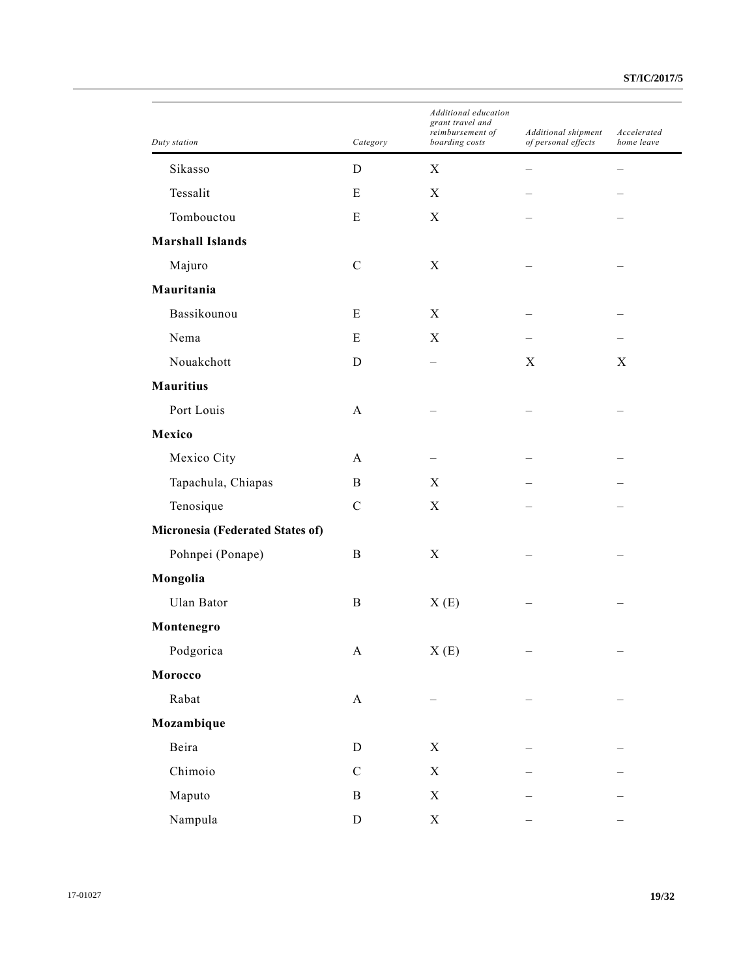| Duty station                     | Category                  | Additional education<br>grant travel and<br>reimbursement of<br>boarding costs | Additional shipment<br>of personal effects | Accelerated<br>home leave |
|----------------------------------|---------------------------|--------------------------------------------------------------------------------|--------------------------------------------|---------------------------|
| Sikasso                          | D                         | X                                                                              |                                            |                           |
| Tessalit                         | E                         | X                                                                              |                                            |                           |
| Tombouctou                       | ${\bf E}$                 | $\mathbf X$                                                                    |                                            |                           |
| <b>Marshall Islands</b>          |                           |                                                                                |                                            |                           |
| Majuro                           | $\mathbf C$               | X                                                                              |                                            |                           |
| Mauritania                       |                           |                                                                                |                                            |                           |
| Bassikounou                      | E                         | X                                                                              |                                            |                           |
| Nema                             | E                         | X                                                                              |                                            |                           |
| Nouakchott                       | D                         |                                                                                | X                                          | X                         |
| <b>Mauritius</b>                 |                           |                                                                                |                                            |                           |
| Port Louis                       | A                         |                                                                                |                                            |                           |
| Mexico                           |                           |                                                                                |                                            |                           |
| Mexico City                      | A                         |                                                                                |                                            |                           |
| Tapachula, Chiapas               | $\, {\bf B}$              | X                                                                              |                                            |                           |
| Tenosique                        | $\mathbf C$               | $\mathbf X$                                                                    |                                            |                           |
| Micronesia (Federated States of) |                           |                                                                                |                                            |                           |
| Pohnpei (Ponape)                 | B                         | X                                                                              |                                            |                           |
| Mongolia                         |                           |                                                                                |                                            |                           |
| Ulan Bator                       | $\, {\bf B}$              | X(E)                                                                           |                                            |                           |
| Montenegro                       |                           |                                                                                |                                            |                           |
| Podgorica                        | A                         | X(E)                                                                           |                                            |                           |
| Morocco                          |                           |                                                                                |                                            |                           |
| Rabat                            | $\boldsymbol{\mathsf{A}}$ |                                                                                |                                            |                           |
| Mozambique                       |                           |                                                                                |                                            |                           |
| Beira                            | ${\bf D}$                 | $\mathbf X$                                                                    |                                            |                           |
| Chimoio                          | ${\bf C}$                 | $\boldsymbol{\mathrm{X}}$                                                      |                                            |                           |
| Maputo                           | $\, {\bf B}$              | $\mathbf X$                                                                    |                                            |                           |
| Nampula                          | ${\rm D}$                 | $\mathbf X$                                                                    |                                            |                           |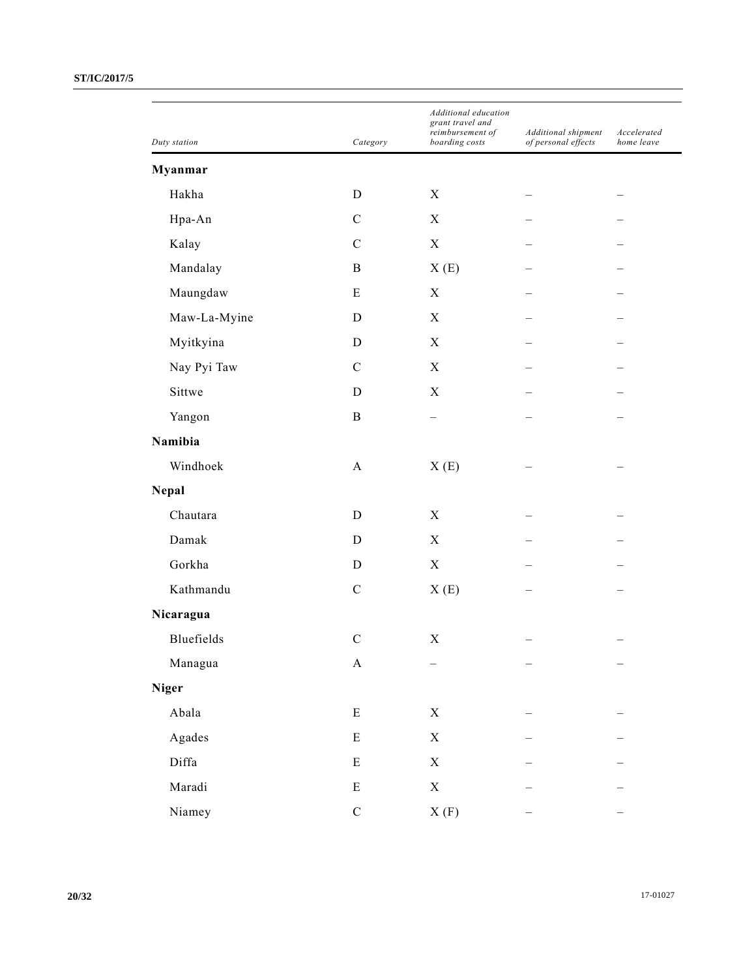| Duty station | Category      | Additional education<br>grant travel and<br>reimbursement of<br>boarding costs | Additional shipment<br>of personal effects | Accelerated<br>home leave |
|--------------|---------------|--------------------------------------------------------------------------------|--------------------------------------------|---------------------------|
| Myanmar      |               |                                                                                |                                            |                           |
| Hakha        | $\mathbf D$   | X                                                                              |                                            |                           |
| Hpa-An       | $\mathbf C$   | $\mathbf X$                                                                    |                                            |                           |
| Kalay        | $\mathbf C$   | $\mathbf X$                                                                    |                                            |                           |
| Mandalay     | $\, {\bf B}$  | X(E)                                                                           |                                            |                           |
| Maungdaw     | ${\bf E}$     | $\mathbf X$                                                                    |                                            |                           |
| Maw-La-Myine | D             | $\mathbf X$                                                                    |                                            |                           |
| Myitkyina    | D             | X                                                                              |                                            |                           |
| Nay Pyi Taw  | $\mathcal{C}$ | $\mathbf X$                                                                    |                                            |                           |
| Sittwe       | D             | $\mathbf X$                                                                    |                                            |                           |
| Yangon       | $\, {\bf B}$  |                                                                                |                                            |                           |
| Namibia      |               |                                                                                |                                            |                           |
| Windhoek     | $\mathbf{A}$  | X(E)                                                                           |                                            |                           |
| <b>Nepal</b> |               |                                                                                |                                            |                           |
| Chautara     | D             | $\mathbf X$                                                                    |                                            |                           |
| Damak        | D             | $\mathbf X$                                                                    |                                            |                           |
| Gorkha       | D             | $\mathbf X$                                                                    |                                            |                           |
| Kathmandu    | $\mathbf C$   | X(E)                                                                           |                                            |                           |
| Nicaragua    |               |                                                                                |                                            |                           |
| Bluefields   | $\mathbf C$   | $\mathbf X$                                                                    |                                            |                           |
| Managua      | $\mathbf{A}$  |                                                                                |                                            |                           |
| <b>Niger</b> |               |                                                                                |                                            |                           |
| Abala        | E             | $\mathbf X$                                                                    |                                            |                           |
| Agades       | ${\bf E}$     | $\mathbf X$                                                                    |                                            |                           |
| Diffa        | ${\bf E}$     | $\mathbf X$                                                                    |                                            |                           |
| Maradi       | ${\bf E}$     | $\mathbf X$                                                                    |                                            |                           |
| Niamey       | $\mathbf C$   | $\boldsymbol{X}$ (F)                                                           |                                            |                           |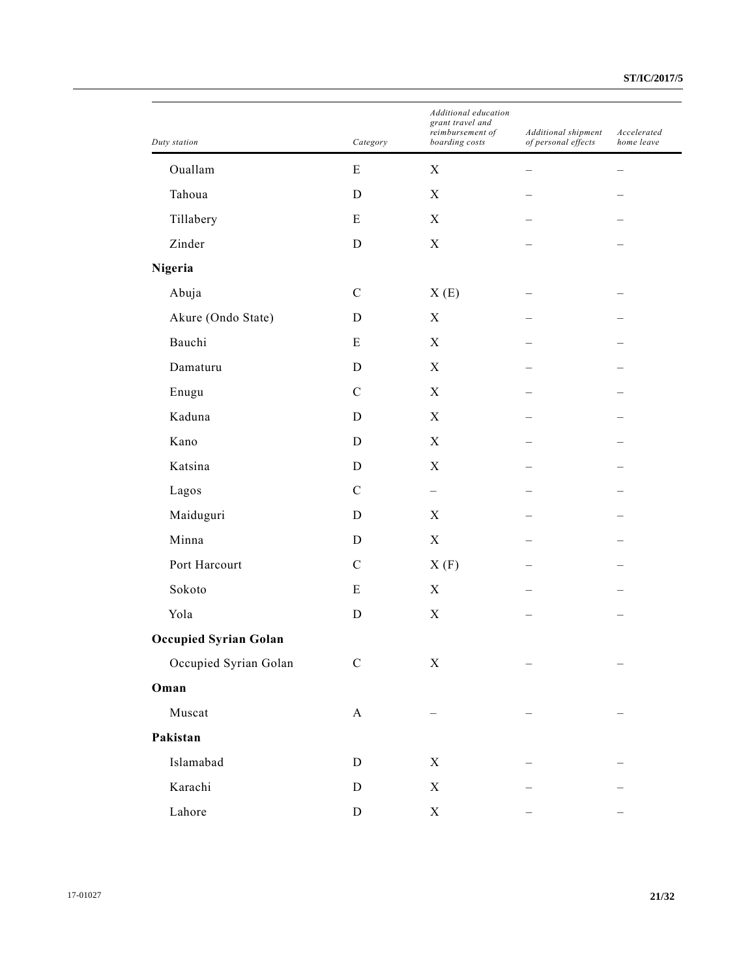| Duty station                 | Category                  | Additional education<br>grant travel and<br>reimbursement of<br>boarding costs | Additional shipment<br>of personal effects | Accelerated<br>home leave |
|------------------------------|---------------------------|--------------------------------------------------------------------------------|--------------------------------------------|---------------------------|
| Ouallam                      | ${\bf E}$                 | $\mathbf X$                                                                    |                                            |                           |
| Tahoua                       | D                         | X                                                                              |                                            |                           |
| Tillabery                    | E                         | $\boldsymbol{X}$                                                               |                                            |                           |
| Zinder                       | D                         | $\mathbf X$                                                                    |                                            |                           |
| Nigeria                      |                           |                                                                                |                                            |                           |
| Abuja                        | $\mathbf C$               | X(E)                                                                           |                                            |                           |
| Akure (Ondo State)           | D                         | $\mathbf X$                                                                    |                                            |                           |
| Bauchi                       | E                         | X                                                                              |                                            |                           |
| Damaturu                     | D                         | $\mathbf X$                                                                    |                                            |                           |
| Enugu                        | $\mathbf C$               | $\mathbf X$                                                                    |                                            |                           |
| Kaduna                       | D                         | X                                                                              |                                            |                           |
| Kano                         | D                         | $\boldsymbol{X}$                                                               |                                            |                           |
| Katsina                      | D                         | $\mathbf X$                                                                    |                                            |                           |
| Lagos                        | $\mathcal{C}$             | $\overline{\phantom{0}}$                                                       |                                            |                           |
| Maiduguri                    | $\mathbf D$               | $\boldsymbol{X}$                                                               |                                            |                           |
| Minna                        | D                         | $\mathbf X$                                                                    |                                            |                           |
| Port Harcourt                | $\mathcal{C}$             | X(F)                                                                           |                                            |                           |
| Sokoto                       | E                         | $\boldsymbol{X}$                                                               |                                            |                           |
| Yola                         | $\mathbf D$               | $\mathbf X$                                                                    |                                            |                           |
| <b>Occupied Syrian Golan</b> |                           |                                                                                |                                            |                           |
| Occupied Syrian Golan        | ${\bf C}$                 | $\mathbf X$                                                                    |                                            |                           |
| Oman                         |                           |                                                                                |                                            |                           |
| Muscat                       | $\boldsymbol{\mathsf{A}}$ |                                                                                |                                            |                           |
| Pakistan                     |                           |                                                                                |                                            |                           |
| Islamabad                    | $\mathbf D$               | $\mathbf X$                                                                    |                                            |                           |
| Karachi                      | ${\rm D}$                 | X                                                                              |                                            |                           |
| Lahore                       | ${\bf D}$                 | $\mathbf X$                                                                    |                                            |                           |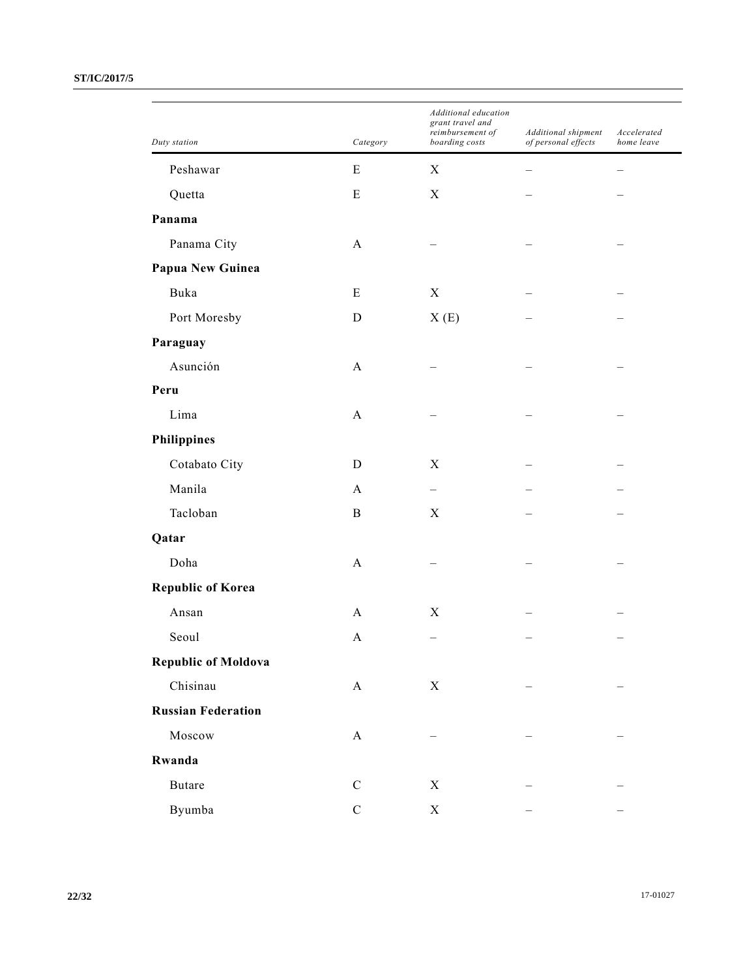|                            |              | Additional education<br>grant travel and |                                            |                           |
|----------------------------|--------------|------------------------------------------|--------------------------------------------|---------------------------|
| Duty station               | Category     | reimbursement of<br>boarding costs       | Additional shipment<br>of personal effects | Accelerated<br>home leave |
| Peshawar                   | E            | X                                        |                                            |                           |
| Quetta                     | E            | X                                        |                                            |                           |
| Panama                     |              |                                          |                                            |                           |
| Panama City                | $\mathbf{A}$ |                                          |                                            |                           |
| Papua New Guinea           |              |                                          |                                            |                           |
| Buka                       | E            | X                                        |                                            |                           |
| Port Moresby               | D            | X(E)                                     |                                            |                           |
| Paraguay                   |              |                                          |                                            |                           |
| Asunción                   | $\mathbf{A}$ |                                          |                                            |                           |
| Peru                       |              |                                          |                                            |                           |
| Lima                       | A            |                                          |                                            |                           |
| <b>Philippines</b>         |              |                                          |                                            |                           |
| Cotabato City              | D            | X                                        |                                            |                           |
| Manila                     | $\mathbf{A}$ |                                          |                                            |                           |
| Tacloban                   | $\mathbf B$  | X                                        |                                            |                           |
| Qatar                      |              |                                          |                                            |                           |
| Doha                       | $\mathbf{A}$ |                                          |                                            |                           |
| <b>Republic of Korea</b>   |              |                                          |                                            |                           |
| Ansan                      | A            | X                                        |                                            |                           |
| Seoul                      | A            |                                          |                                            |                           |
| <b>Republic of Moldova</b> |              |                                          |                                            |                           |
| Chisinau                   | $\mathbf{A}$ | $\mathbf X$                              |                                            |                           |
| <b>Russian Federation</b>  |              |                                          |                                            |                           |
| Moscow                     | $\mathbf{A}$ |                                          |                                            |                           |
| Rwanda                     |              |                                          |                                            |                           |
| <b>Butare</b>              | $\mathbf C$  | $\mathbf X$                              |                                            |                           |
| Byumba                     | ${\bf C}$    | $\mathbf X$                              |                                            |                           |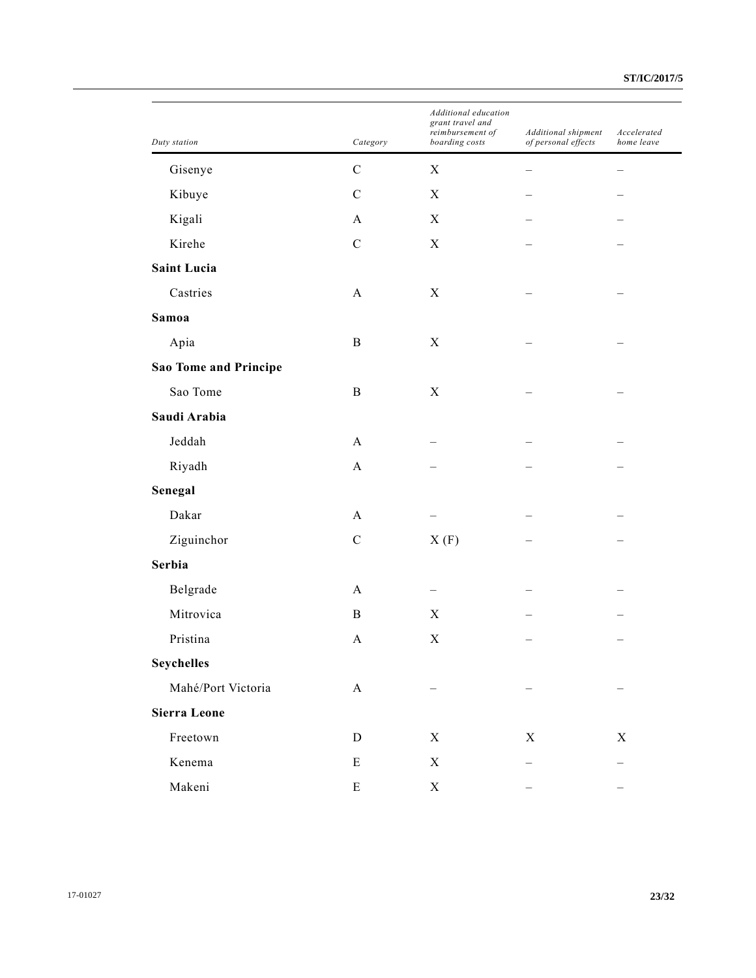| Duty station                 | Category                  | Additional education<br>grant travel and<br>reimbursement of<br>boarding costs | Additional shipment<br>of personal effects | Accelerated<br>home leave |
|------------------------------|---------------------------|--------------------------------------------------------------------------------|--------------------------------------------|---------------------------|
| Gisenye                      | $\mathbf C$               | $\boldsymbol{\mathrm{X}}$                                                      |                                            |                           |
| Kibuye                       | $\mathcal{C}$             | X                                                                              |                                            |                           |
| Kigali                       | A                         | X                                                                              |                                            |                           |
| Kirehe                       | $\mathbf C$               | $\boldsymbol{\mathrm{X}}$                                                      |                                            |                           |
| <b>Saint Lucia</b>           |                           |                                                                                |                                            |                           |
| Castries                     | $\mathbf{A}$              | X                                                                              |                                            |                           |
| Samoa                        |                           |                                                                                |                                            |                           |
| Apia                         | $\, {\bf B}$              | $\mathbf X$                                                                    |                                            |                           |
| <b>Sao Tome and Principe</b> |                           |                                                                                |                                            |                           |
| Sao Tome                     | $\, {\bf B}$              | $\boldsymbol{\mathrm{X}}$                                                      |                                            |                           |
| Saudi Arabia                 |                           |                                                                                |                                            |                           |
| Jeddah                       | A                         |                                                                                |                                            |                           |
| Riyadh                       | $\mathbf{A}$              |                                                                                |                                            |                           |
| Senegal                      |                           |                                                                                |                                            |                           |
| Dakar                        | A                         |                                                                                |                                            |                           |
| Ziguinchor                   | $\mathbf C$               | X(F)                                                                           |                                            |                           |
| Serbia                       |                           |                                                                                |                                            |                           |
| Belgrade                     | A                         |                                                                                |                                            |                           |
| Mitrovica                    | $\, {\bf B}$              | $\boldsymbol{\mathrm{X}}$                                                      |                                            |                           |
| Pristina                     | A                         | X                                                                              |                                            |                           |
| <b>Seychelles</b>            |                           |                                                                                |                                            |                           |
| Mahé/Port Victoria           | $\boldsymbol{\mathsf{A}}$ |                                                                                |                                            |                           |
| <b>Sierra Leone</b>          |                           |                                                                                |                                            |                           |
| Freetown                     | ${\bf D}$                 | $\mathbf X$                                                                    | $\mathbf X$                                | X                         |
| Kenema                       | ${\bf E}$                 | $\mathbf X$                                                                    |                                            |                           |
| Makeni                       | ${\bf E}$                 | X                                                                              |                                            |                           |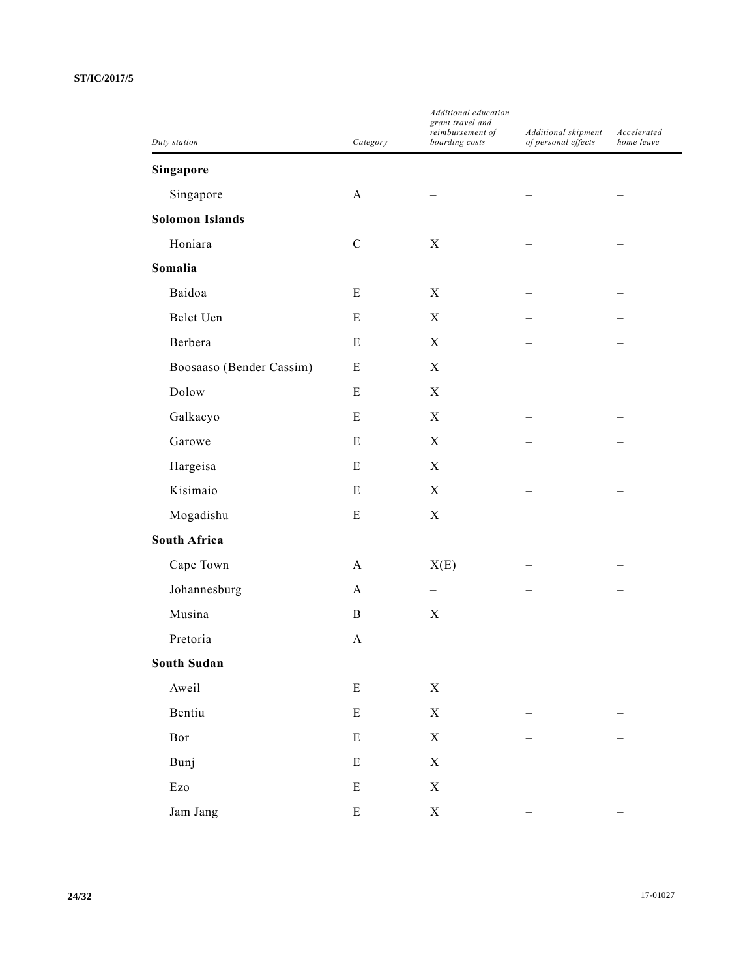|                           |              | Additional education<br>grant travel and<br>reimbursement of | Additional shipment | Accelerated<br>home leave |
|---------------------------|--------------|--------------------------------------------------------------|---------------------|---------------------------|
| Duty station              | Category     | boarding costs                                               | of personal effects |                           |
| Singapore                 |              |                                                              |                     |                           |
| Singapore                 | A            |                                                              |                     |                           |
| <b>Solomon Islands</b>    |              |                                                              |                     |                           |
| Honiara                   | ${\bf C}$    | $\boldsymbol{X}$                                             |                     |                           |
| Somalia                   |              |                                                              |                     |                           |
| Baidoa                    | Ε            | X                                                            |                     |                           |
| Belet Uen                 | Ε            | X                                                            |                     |                           |
| Berbera                   | Ε            | X                                                            |                     |                           |
| Boosaaso (Bender Cassim)  | E            | $\boldsymbol{X}$                                             |                     |                           |
| Dolow                     | Ε            | X                                                            |                     |                           |
| Galkacyo                  | Ε            | X                                                            |                     |                           |
| Garowe                    | Ε            | $\boldsymbol{X}$                                             |                     |                           |
| Hargeisa                  | Ε            | X                                                            |                     |                           |
| Kisimaio                  | Ε            | X                                                            |                     |                           |
| Mogadishu                 | Ε            | $\boldsymbol{X}$                                             |                     |                           |
| <b>South Africa</b>       |              |                                                              |                     |                           |
| Cape Town                 | A            | X(E)                                                         |                     |                           |
| Johannesburg              | $\mathbf{A}$ |                                                              |                     |                           |
| Musina                    | B            | X                                                            |                     |                           |
| Pretoria                  | A            |                                                              |                     |                           |
| <b>South Sudan</b>        |              |                                                              |                     |                           |
| Aweil                     | ${\bf E}$    | $\mathbf X$                                                  |                     |                           |
| Bentiu                    | ${\bf E}$    | $\mathbf X$                                                  |                     |                           |
| Bor                       | ${\bf E}$    | $\mathbf X$                                                  |                     |                           |
| Bunj                      | ${\bf E}$    | $\mathbf X$                                                  |                     |                           |
| $\mathop{\hbox{\rm Ezo}}$ | ${\bf E}$    | $\mathbf X$                                                  |                     |                           |
| Jam Jang                  | ${\bf E}$    | $\mathbf X$                                                  |                     |                           |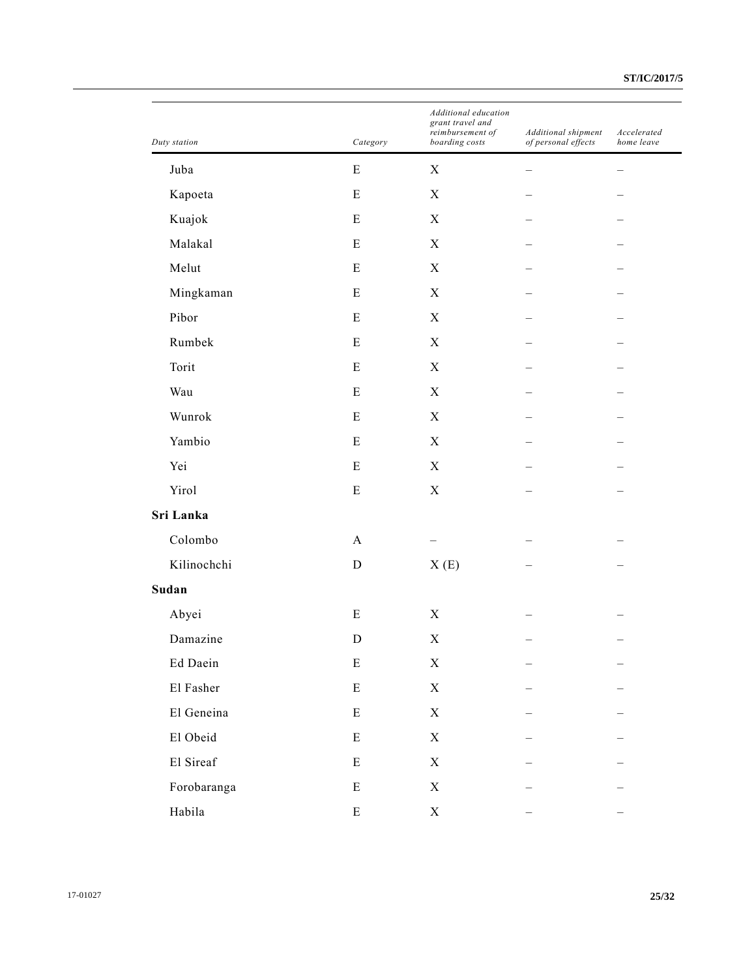| Duty station | Category     | Additional education<br>grant travel and<br>reimbursement of<br>boarding costs | Additional shipment<br>of personal effects | Accelerated<br>home leave |
|--------------|--------------|--------------------------------------------------------------------------------|--------------------------------------------|---------------------------|
| Juba         | ${\bf E}$    | $\mathbf X$                                                                    |                                            |                           |
| Kapoeta      | Ε            | $\boldsymbol{\mathrm{X}}$                                                      |                                            |                           |
| Kuajok       | ${\bf E}$    | $\mathbf X$                                                                    |                                            |                           |
| Malakal      | ${\bf E}$    | $\mathbf X$                                                                    |                                            |                           |
| Melut        | Ε            | X                                                                              |                                            |                           |
| Mingkaman    | ${\bf E}$    | $\boldsymbol{X}$                                                               |                                            |                           |
| Pibor        | ${\bf E}$    | $\mathbf X$                                                                    |                                            |                           |
| Rumbek       | Ε            | $\mathbf X$                                                                    |                                            |                           |
| Torit        | ${\bf E}$    | $\boldsymbol{X}$                                                               |                                            |                           |
| Wau          | ${\bf E}$    | $\mathbf X$                                                                    |                                            |                           |
| Wunrok       | Ε            | $\mathbf X$                                                                    |                                            |                           |
| Yambio       | ${\bf E}$    | $\mathbf X$                                                                    |                                            |                           |
| Yei          | ${\bf E}$    | $\mathbf X$                                                                    |                                            |                           |
| Yirol        | E            | $\mathbf X$                                                                    |                                            |                           |
| Sri Lanka    |              |                                                                                |                                            |                           |
| Colombo      | $\mathbf{A}$ |                                                                                |                                            |                           |
| Kilinochchi  | $\mathbf D$  | X(E)                                                                           |                                            |                           |
| Sudan        |              |                                                                                |                                            |                           |
| Abyei        | ${\bf E}$    | $\mathbf X$                                                                    |                                            |                           |
| Damazine     | D            | X                                                                              |                                            |                           |
| Ed Daein     | $\mathbf E$  | $\mathbf X$                                                                    |                                            |                           |
| El Fasher    | ${\bf E}$    | $\mathbf X$                                                                    |                                            |                           |
| El Geneina   | ${\bf E}$    | $\mathbf X$                                                                    |                                            |                           |
| El Obeid     | ${\bf E}$    | $\mathbf X$                                                                    |                                            |                           |
| El Sireaf    | ${\bf E}$    | $\mathbf X$                                                                    |                                            |                           |
| Forobaranga  | ${\bf E}$    | $\mathbf X$                                                                    |                                            |                           |
| Habila       | ${\bf E}$    | $\mathbf X$                                                                    |                                            |                           |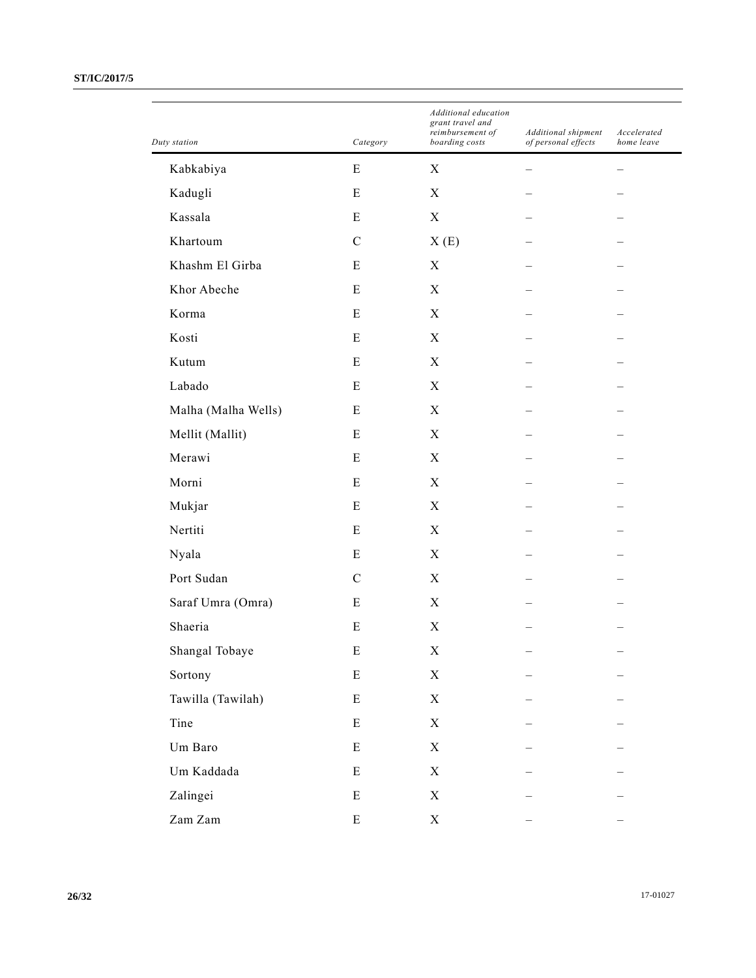| Duty station        | Category      | Additional education<br>grant travel and<br>reimbursement of<br>boarding costs | Additional shipment<br>of personal effects | Accelerated<br>home leave |
|---------------------|---------------|--------------------------------------------------------------------------------|--------------------------------------------|---------------------------|
| Kabkabiya           | E             | $\boldsymbol{\mathrm{X}}$                                                      |                                            |                           |
| Kadugli             | E             | $\boldsymbol{X}$                                                               |                                            |                           |
| Kassala             | E             | $\mathbf X$                                                                    |                                            |                           |
| Khartoum            | $\mathbf C$   | X(E)                                                                           |                                            |                           |
| Khashm El Girba     | E             | $\mathbf X$                                                                    |                                            |                           |
| Khor Abeche         | E             | $\boldsymbol{X}$                                                               |                                            |                           |
| Korma               | E             | X                                                                              |                                            |                           |
| Kosti               | E             | $\mathbf X$                                                                    |                                            |                           |
| Kutum               | E             | $\mathbf X$                                                                    |                                            |                           |
| Labado              | E             | $\boldsymbol{X}$                                                               |                                            |                           |
| Malha (Malha Wells) | E             | $\mathbf X$                                                                    |                                            |                           |
| Mellit (Mallit)     | E             | $\mathbf X$                                                                    |                                            |                           |
| Merawi              | E             | $\mathbf X$                                                                    |                                            |                           |
| Morni               | E             | $\boldsymbol{X}$                                                               |                                            |                           |
| Mukjar              | E             | $\mathbf X$                                                                    |                                            |                           |
| Nertiti             | E             | $\mathbf X$                                                                    |                                            |                           |
| Nyala               | E             | $\mathbf X$                                                                    |                                            |                           |
| Port Sudan          | $\mathcal{C}$ | $\boldsymbol{X}$                                                               |                                            |                           |
| Saraf Umra (Omra)   | E             | $\mathbf X$                                                                    |                                            |                           |
| Shaeria             | E             | $\mathbf X$                                                                    |                                            |                           |
| Shangal Tobaye      | E             | $\mathbf X$                                                                    |                                            |                           |
| Sortony             | ${\bf E}$     | $\mathbf X$                                                                    |                                            |                           |
| Tawilla (Tawilah)   | ${\bf E}$     | $\mathbf X$                                                                    |                                            |                           |
| Tine                | $\mathbf E$   | $\mathbf X$                                                                    |                                            |                           |
| Um Baro             | $\mathbf E$   | $\mathbf X$                                                                    |                                            |                           |
| Um Kaddada          | ${\bf E}$     | $\mathbf X$                                                                    |                                            |                           |
| Zalingei            | ${\bf E}$     | $\mathbf X$                                                                    |                                            |                           |
| Zam Zam             | ${\bf E}$     | $\mathbf X$                                                                    |                                            |                           |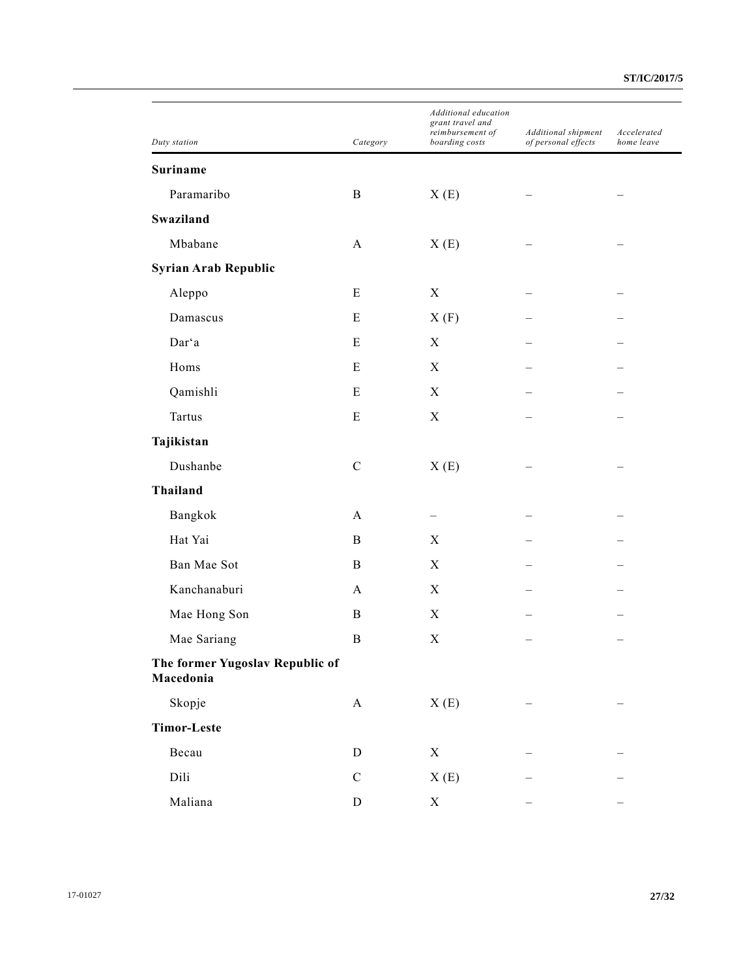| Duty station                                 | Category    | Additional education<br>grant travel and<br>reimbursement of<br>boarding costs | Additional shipment<br>of personal effects | Accelerated<br>home leave |
|----------------------------------------------|-------------|--------------------------------------------------------------------------------|--------------------------------------------|---------------------------|
| Suriname                                     |             |                                                                                |                                            |                           |
| Paramaribo                                   | B           | X(E)                                                                           |                                            |                           |
| Swaziland                                    |             |                                                                                |                                            |                           |
| Mbabane                                      | A           | X(E)                                                                           |                                            |                           |
| Syrian Arab Republic                         |             |                                                                                |                                            |                           |
| Aleppo                                       | E           | $\boldsymbol{X}$                                                               |                                            |                           |
| Damascus                                     | E           | X(F)                                                                           |                                            |                           |
| Dar'a                                        | Ε           | X                                                                              |                                            |                           |
| Homs                                         | ${\bf E}$   | X                                                                              |                                            |                           |
| Qamishli                                     | ${\bf E}$   | $\mathbf X$                                                                    |                                            |                           |
| <b>Tartus</b>                                | ${\bf E}$   | $\boldsymbol{\mathrm{X}}$                                                      |                                            |                           |
| Tajikistan                                   |             |                                                                                |                                            |                           |
| Dushanbe                                     | ${\bf C}$   | X(E)                                                                           |                                            |                           |
| <b>Thailand</b>                              |             |                                                                                |                                            |                           |
| Bangkok                                      | A           |                                                                                |                                            |                           |
| Hat Yai                                      | B           | X                                                                              |                                            |                           |
| Ban Mae Sot                                  | B           | X                                                                              |                                            |                           |
| Kanchanaburi                                 | A           | $\boldsymbol{X}$                                                               |                                            |                           |
| Mae Hong Son                                 | B           | X                                                                              |                                            |                           |
| Mae Sariang                                  | B           | $\boldsymbol{\mathrm{X}}$                                                      |                                            |                           |
| The former Yugoslav Republic of<br>Macedonia |             |                                                                                |                                            |                           |
| Skopje                                       | $\mathbf A$ | X(E)                                                                           |                                            |                           |
| <b>Timor-Leste</b>                           |             |                                                                                |                                            |                           |
| Becau                                        | ${\bf D}$   | $\mathbf X$                                                                    |                                            |                           |
| Dili                                         | ${\bf C}$   | X(E)                                                                           |                                            |                           |
| Maliana                                      | ${\bf D}$   | $\mathbf X$                                                                    |                                            |                           |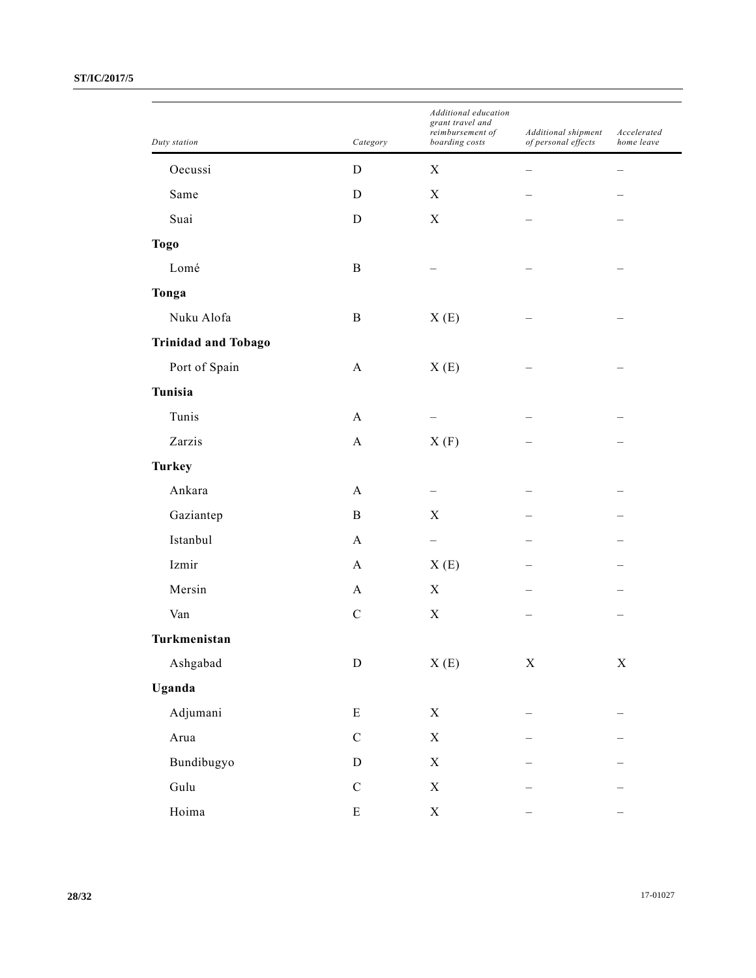| Duty station               | Category     | Additional education<br>grant travel and<br>$reimbursement$ $of$<br>boarding costs | Additional shipment<br>of personal effects | Accelerated<br>home leave |
|----------------------------|--------------|------------------------------------------------------------------------------------|--------------------------------------------|---------------------------|
| Oecussi                    | $\mathbf D$  | X                                                                                  |                                            |                           |
| Same                       | D            | X                                                                                  |                                            |                           |
| Suai                       | $\mathbf D$  | $\mathbf X$                                                                        |                                            |                           |
| <b>Togo</b>                |              |                                                                                    |                                            |                           |
| Lomé                       | $\mathbf B$  |                                                                                    |                                            |                           |
|                            |              |                                                                                    |                                            |                           |
| Tonga<br>Nuku Alofa        | $\, {\bf B}$ |                                                                                    |                                            |                           |
|                            |              | X(E)                                                                               |                                            |                           |
| <b>Trinidad and Tobago</b> |              |                                                                                    |                                            |                           |
| Port of Spain              | $\mathbf{A}$ | X(E)                                                                               |                                            |                           |
| Tunisia                    |              |                                                                                    |                                            |                           |
| Tunis                      | A            |                                                                                    |                                            |                           |
| Zarzis                     | $\mathbf{A}$ | X(F)                                                                               |                                            |                           |
| <b>Turkey</b>              |              |                                                                                    |                                            |                           |
| Ankara                     | A            |                                                                                    |                                            |                           |
| Gaziantep                  | $\, {\bf B}$ | X                                                                                  |                                            |                           |
| Istanbul                   | $\mathbf{A}$ |                                                                                    |                                            |                           |
| Izmir                      | $\mathbf{A}$ | X(E)                                                                               |                                            |                           |
| Mersin                     | A            | X                                                                                  |                                            |                           |
| Van                        | $\mathbf C$  | $\mathbf X$                                                                        |                                            |                           |
| Turkmenistan               |              |                                                                                    |                                            |                           |
| Ashgabad                   | ${\rm D}$    | X(E)                                                                               | $\mathbf X$                                | $\mathbf X$               |
| Uganda                     |              |                                                                                    |                                            |                           |
| Adjumani                   | $\mathbf E$  | $\mathbf X$                                                                        |                                            |                           |
| Arua                       | $\mathbf C$  | $\mathbf X$                                                                        |                                            |                           |
| Bundibugyo                 | ${\rm D}$    | $\mathbf X$                                                                        |                                            |                           |
| Gulu                       | ${\bf C}$    | $\mathbf X$                                                                        |                                            |                           |
| Hoima                      | ${\bf E}$    | $\mathbf X$                                                                        |                                            |                           |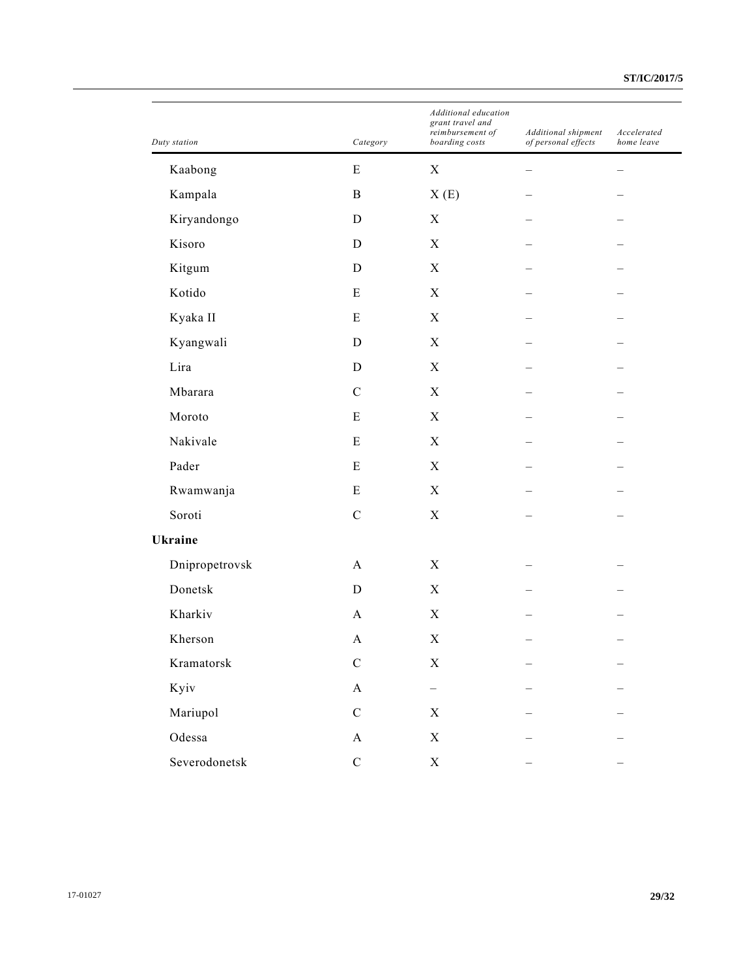| Duty station   | Category     | Additional education<br>grant travel and<br>reimbursement of<br>boarding costs | Additional shipment<br>of personal effects | Accelerated<br>home leave |
|----------------|--------------|--------------------------------------------------------------------------------|--------------------------------------------|---------------------------|
| Kaabong        | E            | $\mathbf X$                                                                    |                                            |                           |
| Kampala        | $\, {\bf B}$ | X(E)                                                                           |                                            |                           |
| Kiryandongo    | $\mathbf D$  | $\mathbf X$                                                                    |                                            |                           |
| Kisoro         | D            | X                                                                              |                                            |                           |
| Kitgum         | D            | $\mathbf X$                                                                    |                                            |                           |
| Kotido         | ${\bf E}$    | $\mathbf X$                                                                    |                                            |                           |
| Kyaka II       | ${\bf E}$    | X                                                                              |                                            |                           |
| Kyangwali      | D            | $\mathbf X$                                                                    |                                            |                           |
| Lira           | $\mathbf D$  | $\mathbf X$                                                                    |                                            |                           |
| Mbarara        | $\mathbf C$  | X                                                                              |                                            |                           |
| Moroto         | E            | $\mathbf X$                                                                    |                                            |                           |
| Nakivale       | ${\bf E}$    | $\mathbf X$                                                                    |                                            |                           |
| Pader          | ${\bf E}$    | X                                                                              |                                            |                           |
| Rwamwanja      | ${\bf E}$    | $\mathbf X$                                                                    |                                            |                           |
| Soroti         | $\mathbf C$  | $\mathbf X$                                                                    |                                            |                           |
| Ukraine        |              |                                                                                |                                            |                           |
| Dnipropetrovsk | A            | $\mathbf X$                                                                    |                                            |                           |
| Donetsk        | $\mathbf D$  | $\mathbf X$                                                                    |                                            |                           |
| Kharkiv        | A            | $\mathbf X$                                                                    |                                            |                           |
| Kherson        | A            | $\mathbf X$                                                                    |                                            |                           |
| Kramatorsk     | ${\bf C}$    | $\mathbf X$                                                                    |                                            |                           |
| Kyiv           | $\mathbf A$  | $\overline{\phantom{0}}$                                                       |                                            |                           |
| Mariupol       | ${\bf C}$    | $\mathbf X$                                                                    |                                            |                           |
| Odessa         | $\mathbf{A}$ | $\mathbf X$                                                                    |                                            |                           |
| Severodonetsk  | ${\bf C}$    | $\mathbf X$                                                                    |                                            |                           |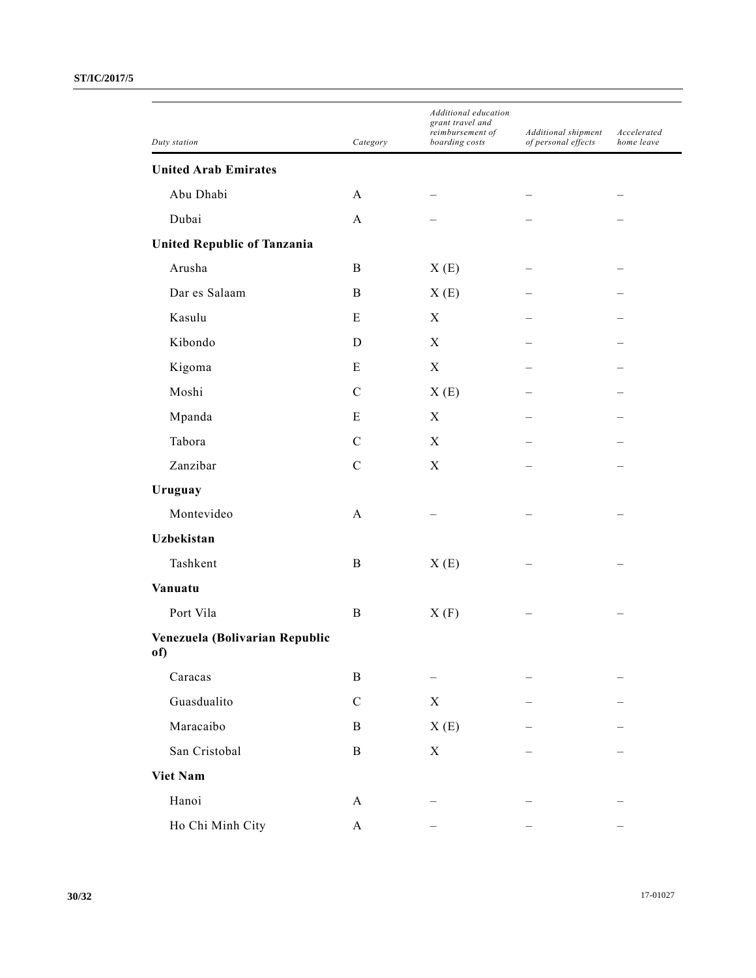|                                       |               | Additional education<br>grant travel and<br>reimbursement of | Additional shipment | Accelerated |
|---------------------------------------|---------------|--------------------------------------------------------------|---------------------|-------------|
| Duty station                          | Category      | boarding costs                                               | of personal effects | home leave  |
| <b>United Arab Emirates</b>           |               |                                                              |                     |             |
| Abu Dhabi                             | A             |                                                              |                     |             |
| Dubai                                 | A             |                                                              |                     |             |
| <b>United Republic of Tanzania</b>    |               |                                                              |                     |             |
| Arusha                                | B             | X(E)                                                         |                     |             |
| Dar es Salaam                         | B             | X(E)                                                         |                     |             |
| Kasulu                                | E             | X                                                            |                     |             |
| Kibondo                               | D             | X                                                            |                     |             |
| Kigoma                                | E             | $\boldsymbol{X}$                                             |                     |             |
| Moshi                                 | $\mathcal{C}$ | X(E)                                                         |                     |             |
| Mpanda                                | Ε             | X                                                            |                     |             |
| Tabora                                | $\mathcal{C}$ | $\boldsymbol{X}$                                             |                     |             |
| Zanzibar                              | $\mathcal{C}$ | X                                                            |                     |             |
| Uruguay                               |               |                                                              |                     |             |
| Montevideo                            | A             |                                                              |                     |             |
| <b>Uzbekistan</b>                     |               |                                                              |                     |             |
| Tashkent                              | B             | X(E)                                                         |                     |             |
| Vanuatu                               |               |                                                              |                     |             |
| Port Vila                             | $\bf{B}$      | X(F)                                                         |                     |             |
| Venezuela (Bolivarian Republic<br>of) |               |                                                              |                     |             |
| Caracas                               | $\, {\bf B}$  |                                                              |                     |             |
| Guasdualito                           | ${\bf C}$     | $\boldsymbol{\mathrm{X}}$                                    |                     |             |
| Maracaibo                             | $\, {\bf B}$  | X(E)                                                         |                     |             |
| San Cristobal                         | $\, {\bf B}$  | $\mathbf X$                                                  |                     |             |
| <b>Viet Nam</b>                       |               |                                                              |                     |             |
| Hanoi                                 | $\mathbf{A}$  |                                                              |                     |             |
| Ho Chi Minh City                      | $\mathbf A$   |                                                              |                     |             |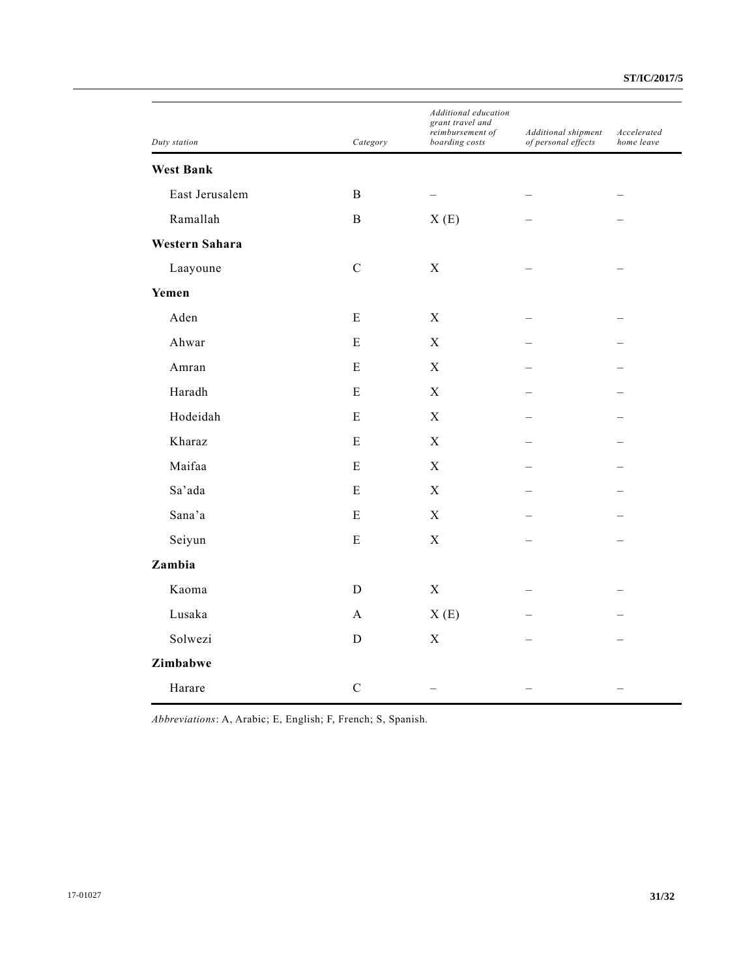|                  |              | Additional education<br>grant travel and |                                            | Accelerated |
|------------------|--------------|------------------------------------------|--------------------------------------------|-------------|
| Duty station     | Category     | reimbursement of<br>boarding costs       | Additional shipment<br>of personal effects | home leave  |
| <b>West Bank</b> |              |                                          |                                            |             |
| East Jerusalem   | $\, {\bf B}$ |                                          |                                            |             |
| Ramallah         | $\, {\bf B}$ | X(E)                                     |                                            |             |
| Western Sahara   |              |                                          |                                            |             |
| Laayoune         | ${\bf C}$    | $\mathbf X$                              |                                            |             |
| Yemen            |              |                                          |                                            |             |
| Aden             | ${\bf E}$    | $\mathbf X$                              |                                            |             |
| Ahwar            | ${\bf E}$    | $\mathbf X$                              |                                            |             |
| Amran            | E            | $\mathbf X$                              |                                            |             |
| Haradh           | E            | $\mathbf X$                              |                                            |             |
| Hodeidah         | ${\bf E}$    | $\mathbf X$                              |                                            |             |
| Kharaz           | E            | X                                        |                                            |             |
| Maifaa           | ${\bf E}$    | $\mathbf X$                              |                                            |             |
| Sa'ada           | E            | $\mathbf X$                              |                                            |             |
| Sana'a           | ${\bf E}$    | $\mathbf X$                              |                                            |             |
| Seiyun           | ${\bf E}$    | $\mathbf X$                              |                                            |             |
| Zambia           |              |                                          |                                            |             |
| Kaoma            | D            | $\mathbf X$                              |                                            |             |
| Lusaka           | $\mathbf{A}$ | X(E)                                     |                                            |             |
| Solwezi          | D            | $\mathbf X$                              |                                            |             |
| Zimbabwe         |              |                                          |                                            |             |
| Harare           | $\mathbf C$  |                                          |                                            |             |

*Abbreviations*: A, Arabic; E, English; F, French; S, Spanish.